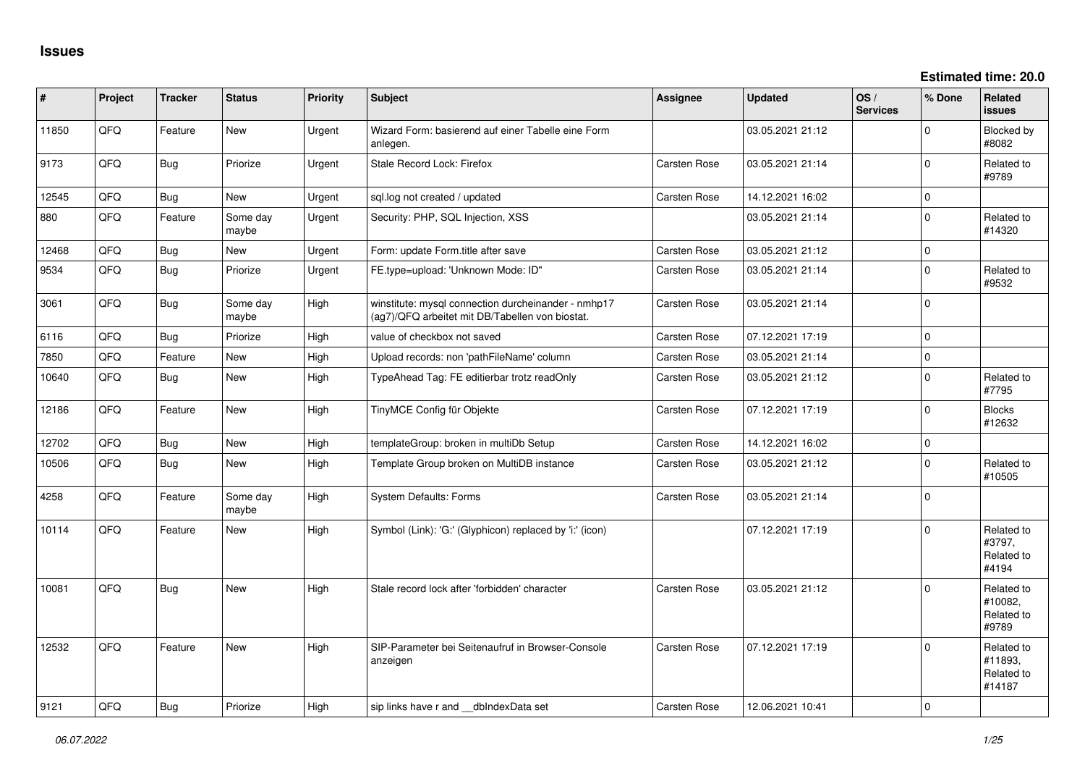| #     | Project | <b>Tracker</b> | <b>Status</b>     | <b>Priority</b> | <b>Subject</b>                                                                                         | Assignee            | <b>Updated</b>   | OS/<br><b>Services</b> | % Done              | Related<br><b>issues</b>                      |
|-------|---------|----------------|-------------------|-----------------|--------------------------------------------------------------------------------------------------------|---------------------|------------------|------------------------|---------------------|-----------------------------------------------|
| 11850 | QFQ     | Feature        | <b>New</b>        | Urgent          | Wizard Form: basierend auf einer Tabelle eine Form<br>anlegen.                                         |                     | 03.05.2021 21:12 |                        | $\Omega$            | Blocked by<br>#8082                           |
| 9173  | QFQ     | Bug            | Priorize          | Urgent          | Stale Record Lock: Firefox                                                                             | Carsten Rose        | 03.05.2021 21:14 |                        | $\Omega$            | Related to<br>#9789                           |
| 12545 | QFQ     | <b>Bug</b>     | New               | Urgent          | sql.log not created / updated                                                                          | Carsten Rose        | 14.12.2021 16:02 |                        | $\mathbf 0$         |                                               |
| 880   | QFQ     | Feature        | Some day<br>maybe | Urgent          | Security: PHP, SQL Injection, XSS                                                                      |                     | 03.05.2021 21:14 |                        | $\Omega$            | Related to<br>#14320                          |
| 12468 | QFQ     | Bug            | <b>New</b>        | Urgent          | Form: update Form.title after save                                                                     | <b>Carsten Rose</b> | 03.05.2021 21:12 |                        | $\mathbf 0$         |                                               |
| 9534  | QFQ     | Bug            | Priorize          | Urgent          | FE.type=upload: 'Unknown Mode: ID"                                                                     | <b>Carsten Rose</b> | 03.05.2021 21:14 |                        | $\mathbf 0$         | Related to<br>#9532                           |
| 3061  | QFQ     | Bug            | Some day<br>maybe | High            | winstitute: mysql connection durcheinander - nmhp17<br>(ag7)/QFQ arbeitet mit DB/Tabellen von biostat. | <b>Carsten Rose</b> | 03.05.2021 21:14 |                        | $\mathbf 0$         |                                               |
| 6116  | OFO     | Bug            | Priorize          | High            | value of checkbox not saved                                                                            | <b>Carsten Rose</b> | 07.12.2021 17:19 |                        | $\mathbf{0}$        |                                               |
| 7850  | QFQ     | Feature        | New               | High            | Upload records: non 'pathFileName' column                                                              | Carsten Rose        | 03.05.2021 21:14 |                        | $\mathsf{O}\xspace$ |                                               |
| 10640 | QFQ     | Bug            | New               | High            | TypeAhead Tag: FE editierbar trotz readOnly                                                            | <b>Carsten Rose</b> | 03.05.2021 21:12 |                        | 0                   | Related to<br>#7795                           |
| 12186 | QFQ     | Feature        | New               | High            | TinyMCE Config für Objekte                                                                             | <b>Carsten Rose</b> | 07.12.2021 17:19 |                        | $\Omega$            | <b>Blocks</b><br>#12632                       |
| 12702 | QFQ     | Bug            | <b>New</b>        | High            | templateGroup: broken in multiDb Setup                                                                 | Carsten Rose        | 14.12.2021 16:02 |                        | $\mathbf 0$         |                                               |
| 10506 | QFQ     | Bug            | <b>New</b>        | High            | Template Group broken on MultiDB instance                                                              | <b>Carsten Rose</b> | 03.05.2021 21:12 |                        | $\mathbf 0$         | Related to<br>#10505                          |
| 4258  | QFQ     | Feature        | Some day<br>maybe | High            | System Defaults: Forms                                                                                 | Carsten Rose        | 03.05.2021 21:14 |                        | $\mathbf{0}$        |                                               |
| 10114 | QFQ     | Feature        | New               | High            | Symbol (Link): 'G:' (Glyphicon) replaced by 'i:' (icon)                                                |                     | 07.12.2021 17:19 |                        | $\Omega$            | Related to<br>#3797,<br>Related to<br>#4194   |
| 10081 | QFQ     | Bug            | New               | High            | Stale record lock after 'forbidden' character                                                          | <b>Carsten Rose</b> | 03.05.2021 21:12 |                        | $\mathbf 0$         | Related to<br>#10082,<br>Related to<br>#9789  |
| 12532 | QFQ     | Feature        | <b>New</b>        | High            | SIP-Parameter bei Seitenaufruf in Browser-Console<br>anzeigen                                          | Carsten Rose        | 07.12.2021 17:19 |                        | $\Omega$            | Related to<br>#11893.<br>Related to<br>#14187 |
| 9121  | QFQ     | Bug            | Priorize          | High            | sip links have r and __dbIndexData set                                                                 | Carsten Rose        | 12.06.2021 10:41 |                        | $\mathbf 0$         |                                               |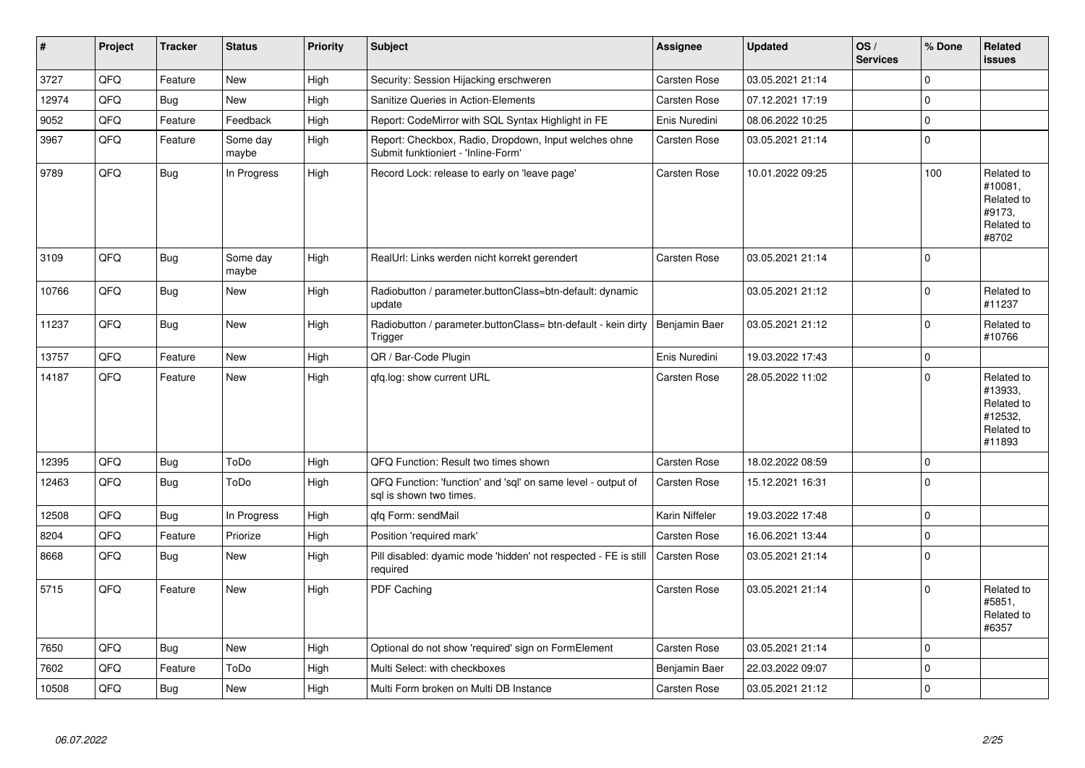| $\vert$ # | Project | <b>Tracker</b> | <b>Status</b>     | <b>Priority</b> | <b>Subject</b>                                                                               | <b>Assignee</b>     | <b>Updated</b>   | OS/<br><b>Services</b> | % Done      | Related<br><b>issues</b>                                               |
|-----------|---------|----------------|-------------------|-----------------|----------------------------------------------------------------------------------------------|---------------------|------------------|------------------------|-------------|------------------------------------------------------------------------|
| 3727      | QFQ     | Feature        | <b>New</b>        | High            | Security: Session Hijacking erschweren                                                       | Carsten Rose        | 03.05.2021 21:14 |                        | $\Omega$    |                                                                        |
| 12974     | QFQ     | <b>Bug</b>     | New               | High            | <b>Sanitize Queries in Action-Elements</b>                                                   | Carsten Rose        | 07.12.2021 17:19 |                        | $\mathbf 0$ |                                                                        |
| 9052      | QFQ     | Feature        | Feedback          | High            | Report: CodeMirror with SQL Syntax Highlight in FE                                           | Enis Nuredini       | 08.06.2022 10:25 |                        | $\Omega$    |                                                                        |
| 3967      | QFQ     | Feature        | Some day<br>maybe | High            | Report: Checkbox, Radio, Dropdown, Input welches ohne<br>Submit funktioniert - 'Inline-Form' | Carsten Rose        | 03.05.2021 21:14 |                        | $\mathbf 0$ |                                                                        |
| 9789      | QFQ     | Bug            | In Progress       | High            | Record Lock: release to early on 'leave page'                                                | Carsten Rose        | 10.01.2022 09:25 |                        | 100         | Related to<br>#10081,<br>Related to<br>#9173,<br>Related to<br>#8702   |
| 3109      | QFQ     | Bug            | Some day<br>maybe | High            | RealUrl: Links werden nicht korrekt gerendert                                                | Carsten Rose        | 03.05.2021 21:14 |                        | $\Omega$    |                                                                        |
| 10766     | QFQ     | <b>Bug</b>     | <b>New</b>        | High            | Radiobutton / parameter.buttonClass=btn-default: dynamic<br>update                           |                     | 03.05.2021 21:12 |                        | $\mathbf 0$ | Related to<br>#11237                                                   |
| 11237     | QFQ     | <b>Bug</b>     | New               | High            | Radiobutton / parameter.buttonClass= btn-default - kein dirty   Benjamin Baer<br>Trigger     |                     | 03.05.2021 21:12 |                        | $\mathbf 0$ | Related to<br>#10766                                                   |
| 13757     | QFQ     | Feature        | <b>New</b>        | High            | QR / Bar-Code Plugin                                                                         | Enis Nuredini       | 19.03.2022 17:43 |                        | $\mathbf 0$ |                                                                        |
| 14187     | QFQ     | Feature        | <b>New</b>        | High            | gfg.log: show current URL                                                                    | Carsten Rose        | 28.05.2022 11:02 |                        | $\Omega$    | Related to<br>#13933,<br>Related to<br>#12532,<br>Related to<br>#11893 |
| 12395     | QFQ     | <b>Bug</b>     | ToDo              | High            | QFQ Function: Result two times shown                                                         | Carsten Rose        | 18.02.2022 08:59 |                        | $\Omega$    |                                                                        |
| 12463     | QFQ     | Bug            | ToDo              | High            | QFQ Function: 'function' and 'sql' on same level - output of<br>sal is shown two times.      | Carsten Rose        | 15.12.2021 16:31 |                        | $\mathbf 0$ |                                                                        |
| 12508     | QFQ     | Bug            | In Progress       | High            | qfq Form: sendMail                                                                           | Karin Niffeler      | 19.03.2022 17:48 |                        | $\Omega$    |                                                                        |
| 8204      | QFQ     | Feature        | Priorize          | High            | Position 'required mark'                                                                     | Carsten Rose        | 16.06.2021 13:44 |                        | $\mathbf 0$ |                                                                        |
| 8668      | QFQ     | <b>Bug</b>     | <b>New</b>        | High            | Pill disabled: dyamic mode 'hidden' not respected - FE is still<br>required                  | <b>Carsten Rose</b> | 03.05.2021 21:14 |                        | $\Omega$    |                                                                        |
| 5715      | QFQ     | Feature        | <b>New</b>        | High            | PDF Caching                                                                                  | Carsten Rose        | 03.05.2021 21:14 |                        | $\mathbf 0$ | Related to<br>#5851,<br>Related to<br>#6357                            |
| 7650      | QFQ     | Bug            | <b>New</b>        | High            | Optional do not show 'required' sign on FormElement                                          | Carsten Rose        | 03.05.2021 21:14 |                        | $\mathbf 0$ |                                                                        |
| 7602      | QFQ     | Feature        | ToDo              | High            | Multi Select: with checkboxes                                                                | Benjamin Baer       | 22.03.2022 09:07 |                        | $\mathbf 0$ |                                                                        |
| 10508     | QFQ     | Bug            | <b>New</b>        | High            | Multi Form broken on Multi DB Instance                                                       | Carsten Rose        | 03.05.2021 21:12 |                        | $\Omega$    |                                                                        |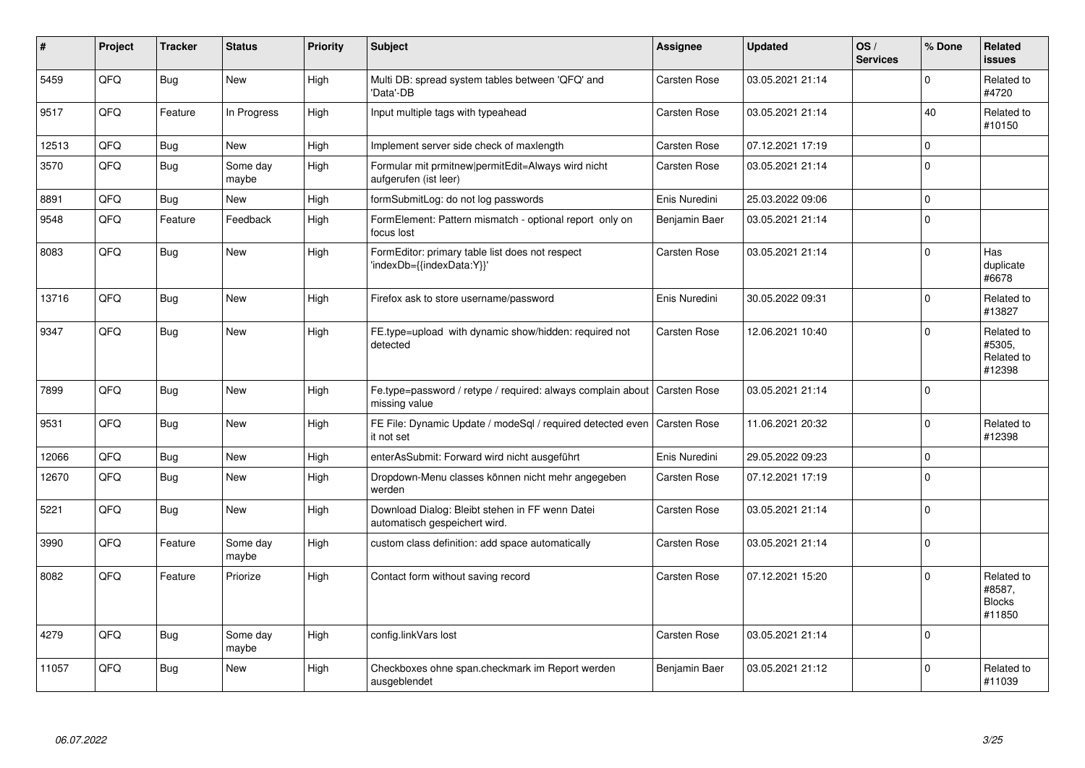| ∦     | Project | <b>Tracker</b> | <b>Status</b>     | <b>Priority</b> | <b>Subject</b>                                                                   | Assignee      | <b>Updated</b>   | OS/<br><b>Services</b> | % Done       | Related<br><b>issues</b>                        |
|-------|---------|----------------|-------------------|-----------------|----------------------------------------------------------------------------------|---------------|------------------|------------------------|--------------|-------------------------------------------------|
| 5459  | QFQ     | Bug            | <b>New</b>        | High            | Multi DB: spread system tables between 'QFQ' and<br>Data'-DB                     | Carsten Rose  | 03.05.2021 21:14 |                        | $\Omega$     | Related to<br>#4720                             |
| 9517  | QFQ     | Feature        | In Progress       | High            | Input multiple tags with typeahead                                               | Carsten Rose  | 03.05.2021 21:14 |                        | 40           | Related to<br>#10150                            |
| 12513 | QFQ     | <b>Bug</b>     | <b>New</b>        | High            | Implement server side check of maxlength                                         | Carsten Rose  | 07.12.2021 17:19 |                        | $\mathbf{0}$ |                                                 |
| 3570  | QFQ     | <b>Bug</b>     | Some day<br>maybe | High            | Formular mit prmitnew permitEdit=Always wird nicht<br>aufgerufen (ist leer)      | Carsten Rose  | 03.05.2021 21:14 |                        | $\Omega$     |                                                 |
| 8891  | QFQ     | Bug            | New               | High            | formSubmitLog: do not log passwords                                              | Enis Nuredini | 25.03.2022 09:06 |                        | $\mathbf 0$  |                                                 |
| 9548  | QFQ     | Feature        | Feedback          | High            | FormElement: Pattern mismatch - optional report only on<br>focus lost            | Benjamin Baer | 03.05.2021 21:14 |                        | $\mathbf 0$  |                                                 |
| 8083  | QFQ     | <b>Bug</b>     | <b>New</b>        | High            | FormEditor: primary table list does not respect<br>'indexDb={{indexData:Y}}'     | Carsten Rose  | 03.05.2021 21:14 |                        | $\Omega$     | Has<br>duplicate<br>#6678                       |
| 13716 | QFQ     | <b>Bug</b>     | <b>New</b>        | High            | Firefox ask to store username/password                                           | Enis Nuredini | 30.05.2022 09:31 |                        | $\Omega$     | Related to<br>#13827                            |
| 9347  | QFQ     | Bug            | <b>New</b>        | High            | FE.type=upload with dynamic show/hidden: required not<br>detected                | Carsten Rose  | 12.06.2021 10:40 |                        | $\Omega$     | Related to<br>#5305.<br>Related to<br>#12398    |
| 7899  | QFQ     | <b>Bug</b>     | <b>New</b>        | High            | Fe.type=password / retype / required: always complain about<br>missing value     | Carsten Rose  | 03.05.2021 21:14 |                        | $\Omega$     |                                                 |
| 9531  | QFQ     | <b>Bug</b>     | <b>New</b>        | High            | FE File: Dynamic Update / modeSql / required detected even<br>it not set         | Carsten Rose  | 11.06.2021 20:32 |                        | $\Omega$     | Related to<br>#12398                            |
| 12066 | QFQ     | <b>Bug</b>     | <b>New</b>        | High            | enterAsSubmit: Forward wird nicht ausgeführt                                     | Enis Nuredini | 29.05.2022 09:23 |                        | $\mathbf 0$  |                                                 |
| 12670 | QFQ     | <b>Bug</b>     | <b>New</b>        | High            | Dropdown-Menu classes können nicht mehr angegeben<br>werden                      | Carsten Rose  | 07.12.2021 17:19 |                        | $\Omega$     |                                                 |
| 5221  | QFQ     | <b>Bug</b>     | <b>New</b>        | High            | Download Dialog: Bleibt stehen in FF wenn Datei<br>automatisch gespeichert wird. | Carsten Rose  | 03.05.2021 21:14 |                        | $\Omega$     |                                                 |
| 3990  | QFQ     | Feature        | Some day<br>maybe | High            | custom class definition: add space automatically                                 | Carsten Rose  | 03.05.2021 21:14 |                        | $\mathbf 0$  |                                                 |
| 8082  | QFQ     | Feature        | Priorize          | High            | Contact form without saving record                                               | Carsten Rose  | 07.12.2021 15:20 |                        | $\Omega$     | Related to<br>#8587,<br><b>Blocks</b><br>#11850 |
| 4279  | QFQ     | <b>Bug</b>     | Some day<br>maybe | High            | config.linkVars lost                                                             | Carsten Rose  | 03.05.2021 21:14 |                        | $\Omega$     |                                                 |
| 11057 | QFQ     | <b>Bug</b>     | <b>New</b>        | High            | Checkboxes ohne span.checkmark im Report werden<br>ausgeblendet                  | Benjamin Baer | 03.05.2021 21:12 |                        | $\mathbf 0$  | Related to<br>#11039                            |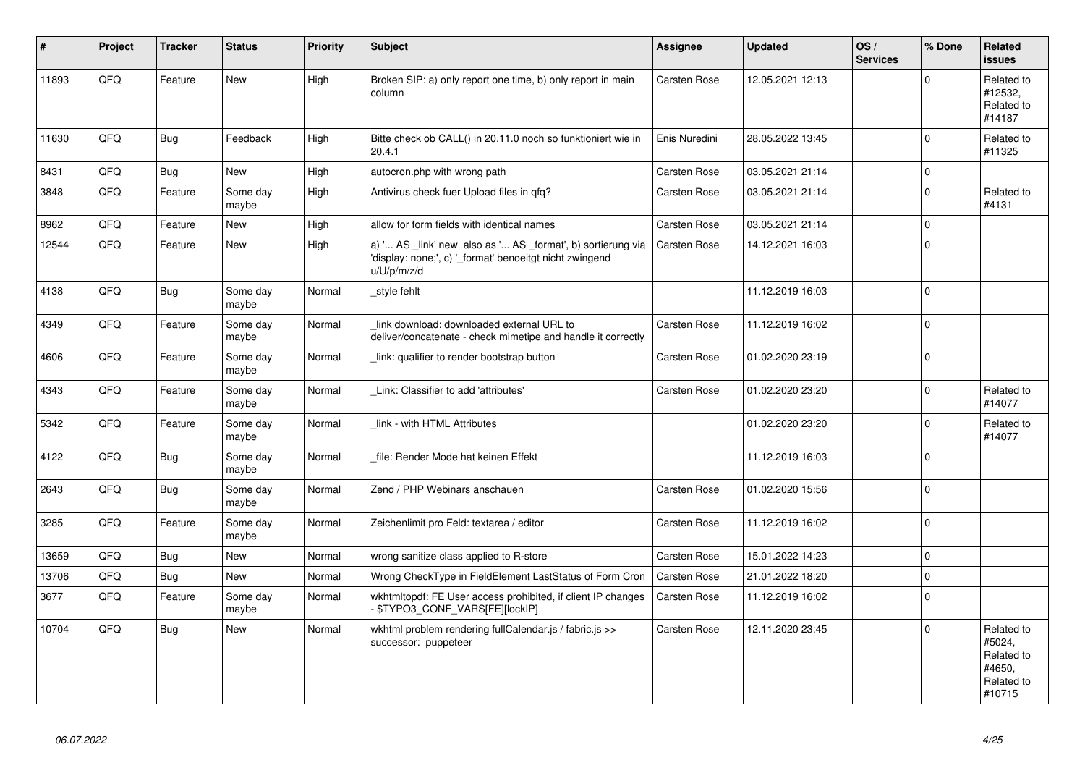| $\vert$ # | Project | <b>Tracker</b> | <b>Status</b>     | <b>Priority</b> | <b>Subject</b>                                                                                                                        | Assignee      | <b>Updated</b>   | OS/<br><b>Services</b> | % Done      | Related<br><b>issues</b>                                             |
|-----------|---------|----------------|-------------------|-----------------|---------------------------------------------------------------------------------------------------------------------------------------|---------------|------------------|------------------------|-------------|----------------------------------------------------------------------|
| 11893     | QFQ     | Feature        | <b>New</b>        | High            | Broken SIP: a) only report one time, b) only report in main<br>column                                                                 | Carsten Rose  | 12.05.2021 12:13 |                        | $\Omega$    | Related to<br>#12532,<br>Related to<br>#14187                        |
| 11630     | QFQ     | <b>Bug</b>     | Feedback          | High            | Bitte check ob CALL() in 20.11.0 noch so funktioniert wie in<br>20.4.1                                                                | Enis Nuredini | 28.05.2022 13:45 |                        | $\mathbf 0$ | Related to<br>#11325                                                 |
| 8431      | QFQ     | <b>Bug</b>     | New               | High            | autocron.php with wrong path                                                                                                          | Carsten Rose  | 03.05.2021 21:14 |                        | $\mathbf 0$ |                                                                      |
| 3848      | QFQ     | Feature        | Some day<br>maybe | High            | Antivirus check fuer Upload files in gfg?                                                                                             | Carsten Rose  | 03.05.2021 21:14 |                        | $\Omega$    | Related to<br>#4131                                                  |
| 8962      | QFQ     | Feature        | <b>New</b>        | High            | allow for form fields with identical names                                                                                            | Carsten Rose  | 03.05.2021 21:14 |                        | $\Omega$    |                                                                      |
| 12544     | QFQ     | Feature        | New               | High            | a) ' AS _link' new also as ' AS _format', b) sortierung via<br>'display: none;', c) '_format' benoeitgt nicht zwingend<br>u/U/p/m/z/d | Carsten Rose  | 14.12.2021 16:03 |                        | $\mathbf 0$ |                                                                      |
| 4138      | QFQ     | <b>Bug</b>     | Some day<br>maybe | Normal          | _style fehlt                                                                                                                          |               | 11.12.2019 16:03 |                        | $\Omega$    |                                                                      |
| 4349      | QFQ     | Feature        | Some day<br>maybe | Normal          | link download: downloaded external URL to<br>deliver/concatenate - check mimetipe and handle it correctly                             | Carsten Rose  | 11.12.2019 16:02 |                        | $\mathbf 0$ |                                                                      |
| 4606      | QFQ     | Feature        | Some day<br>maybe | Normal          | link: qualifier to render bootstrap button                                                                                            | Carsten Rose  | 01.02.2020 23:19 |                        | $\Omega$    |                                                                      |
| 4343      | QFQ     | Feature        | Some day<br>maybe | Normal          | Link: Classifier to add 'attributes'                                                                                                  | Carsten Rose  | 01.02.2020 23:20 |                        | $\Omega$    | Related to<br>#14077                                                 |
| 5342      | QFQ     | Feature        | Some day<br>maybe | Normal          | link - with HTML Attributes                                                                                                           |               | 01.02.2020 23:20 |                        | $\Omega$    | Related to<br>#14077                                                 |
| 4122      | QFQ     | <b>Bug</b>     | Some day<br>maybe | Normal          | file: Render Mode hat keinen Effekt                                                                                                   |               | 11.12.2019 16:03 |                        | $\Omega$    |                                                                      |
| 2643      | QFQ     | <b>Bug</b>     | Some day<br>maybe | Normal          | Zend / PHP Webinars anschauen                                                                                                         | Carsten Rose  | 01.02.2020 15:56 |                        | $\Omega$    |                                                                      |
| 3285      | QFQ     | Feature        | Some day<br>maybe | Normal          | Zeichenlimit pro Feld: textarea / editor                                                                                              | Carsten Rose  | 11.12.2019 16:02 |                        | $\Omega$    |                                                                      |
| 13659     | QFQ     | <b>Bug</b>     | <b>New</b>        | Normal          | wrong sanitize class applied to R-store                                                                                               | Carsten Rose  | 15.01.2022 14:23 |                        | $\mathbf 0$ |                                                                      |
| 13706     | QFQ     | Bug            | <b>New</b>        | Normal          | Wrong CheckType in FieldElement LastStatus of Form Cron                                                                               | Carsten Rose  | 21.01.2022 18:20 |                        | $\mathbf 0$ |                                                                      |
| 3677      | QFQ     | Feature        | Some day<br>maybe | Normal          | wkhtmitopdf: FE User access prohibited, if client IP changes<br>- \$TYPO3_CONF_VARS[FE][lockIP]                                       | Carsten Rose  | 11.12.2019 16:02 |                        | $\Omega$    |                                                                      |
| 10704     | QFQ     | Bug            | New               | Normal          | wkhtml problem rendering fullCalendar.js / fabric.js >><br>successor: puppeteer                                                       | Carsten Rose  | 12.11.2020 23:45 |                        | $\Omega$    | Related to<br>#5024,<br>Related to<br>#4650,<br>Related to<br>#10715 |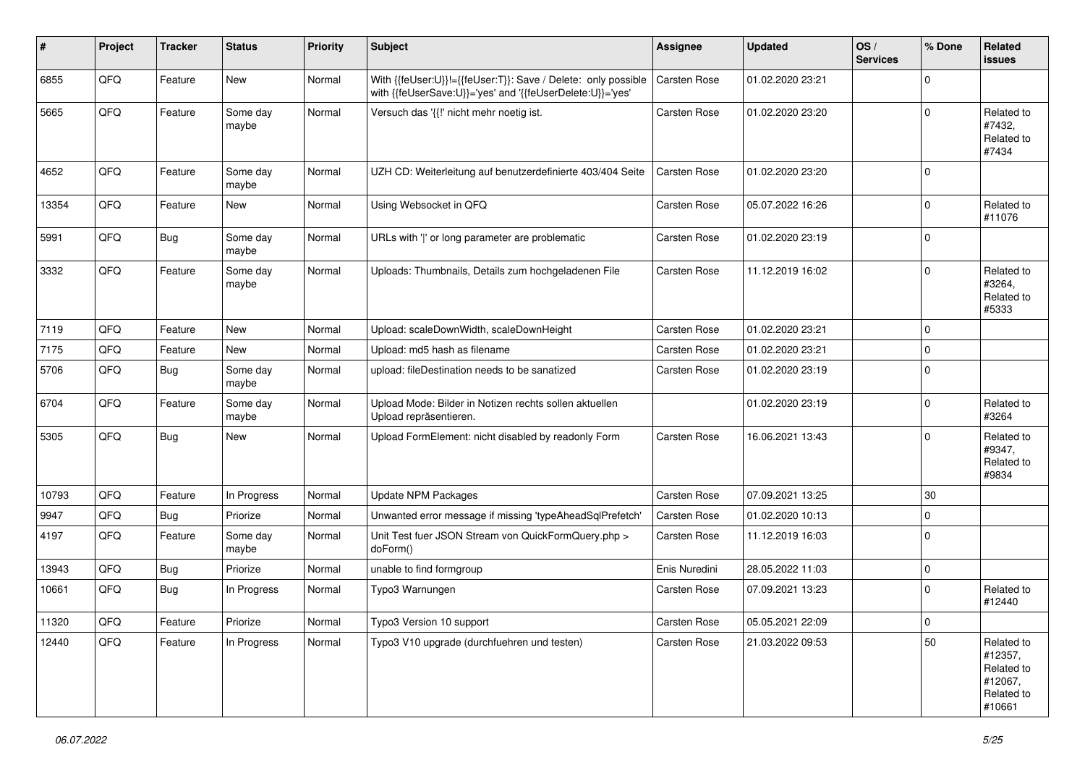| #     | Project | <b>Tracker</b> | <b>Status</b>     | <b>Priority</b> | <b>Subject</b>                                                                                                             | <b>Assignee</b>     | <b>Updated</b>   | OS/<br><b>Services</b> | % Done         | Related<br><b>issues</b>                                               |
|-------|---------|----------------|-------------------|-----------------|----------------------------------------------------------------------------------------------------------------------------|---------------------|------------------|------------------------|----------------|------------------------------------------------------------------------|
| 6855  | QFQ     | Feature        | New               | Normal          | With {{feUser:U}}!={{feUser:T}}: Save / Delete: only possible<br>with {{feUserSave:U}}='yes' and '{{feUserDelete:U}}='yes' | Carsten Rose        | 01.02.2020 23:21 |                        | $\Omega$       |                                                                        |
| 5665  | QFQ     | Feature        | Some day<br>maybe | Normal          | Versuch das '{{!' nicht mehr noetig ist.                                                                                   | Carsten Rose        | 01.02.2020 23:20 |                        | $\Omega$       | Related to<br>#7432,<br>Related to<br>#7434                            |
| 4652  | QFQ     | Feature        | Some day<br>maybe | Normal          | UZH CD: Weiterleitung auf benutzerdefinierte 403/404 Seite                                                                 | Carsten Rose        | 01.02.2020 23:20 |                        | $\mathbf 0$    |                                                                        |
| 13354 | QFQ     | Feature        | New               | Normal          | Using Websocket in QFQ                                                                                                     | Carsten Rose        | 05.07.2022 16:26 |                        | $\Omega$       | Related to<br>#11076                                                   |
| 5991  | QFQ     | <b>Bug</b>     | Some day<br>maybe | Normal          | URLs with ' ' or long parameter are problematic                                                                            | Carsten Rose        | 01.02.2020 23:19 |                        | $\Omega$       |                                                                        |
| 3332  | QFQ     | Feature        | Some day<br>maybe | Normal          | Uploads: Thumbnails, Details zum hochgeladenen File                                                                        | Carsten Rose        | 11.12.2019 16:02 |                        | $\Omega$       | Related to<br>#3264,<br>Related to<br>#5333                            |
| 7119  | QFQ     | Feature        | <b>New</b>        | Normal          | Upload: scaleDownWidth, scaleDownHeight                                                                                    | Carsten Rose        | 01.02.2020 23:21 |                        | $\mathbf 0$    |                                                                        |
| 7175  | QFQ     | Feature        | New               | Normal          | Upload: md5 hash as filename                                                                                               | Carsten Rose        | 01.02.2020 23:21 |                        | $\mathbf 0$    |                                                                        |
| 5706  | QFQ     | <b>Bug</b>     | Some day<br>maybe | Normal          | upload: fileDestination needs to be sanatized                                                                              | Carsten Rose        | 01.02.2020 23:19 |                        | $\Omega$       |                                                                        |
| 6704  | QFQ     | Feature        | Some day<br>maybe | Normal          | Upload Mode: Bilder in Notizen rechts sollen aktuellen<br>Upload repräsentieren.                                           |                     | 01.02.2020 23:19 |                        | $\Omega$       | Related to<br>#3264                                                    |
| 5305  | QFQ     | Bug            | New               | Normal          | Upload FormElement: nicht disabled by readonly Form                                                                        | <b>Carsten Rose</b> | 16.06.2021 13:43 |                        | $\Omega$       | Related to<br>#9347,<br>Related to<br>#9834                            |
| 10793 | QFQ     | Feature        | In Progress       | Normal          | <b>Update NPM Packages</b>                                                                                                 | Carsten Rose        | 07.09.2021 13:25 |                        | 30             |                                                                        |
| 9947  | QFQ     | Bug            | Priorize          | Normal          | Unwanted error message if missing 'typeAheadSqlPrefetch'                                                                   | Carsten Rose        | 01.02.2020 10:13 |                        | $\Omega$       |                                                                        |
| 4197  | QFQ     | Feature        | Some day<br>maybe | Normal          | Unit Test fuer JSON Stream von QuickFormQuery.php ><br>doForm()                                                            | Carsten Rose        | 11.12.2019 16:03 |                        | $\Omega$       |                                                                        |
| 13943 | QFQ     | Bug            | Priorize          | Normal          | unable to find formgroup                                                                                                   | Enis Nuredini       | 28.05.2022 11:03 |                        | $\mathbf 0$    |                                                                        |
| 10661 | QFQ     | Bug            | In Progress       | Normal          | Typo3 Warnungen                                                                                                            | Carsten Rose        | 07.09.2021 13:23 |                        | $\mathbf 0$    | Related to<br>#12440                                                   |
| 11320 | QFQ     | Feature        | Priorize          | Normal          | Typo3 Version 10 support                                                                                                   | Carsten Rose        | 05.05.2021 22:09 |                        | $\overline{0}$ |                                                                        |
| 12440 | QFQ     | Feature        | In Progress       | Normal          | Typo3 V10 upgrade (durchfuehren und testen)                                                                                | Carsten Rose        | 21.03.2022 09:53 |                        | 50             | Related to<br>#12357,<br>Related to<br>#12067,<br>Related to<br>#10661 |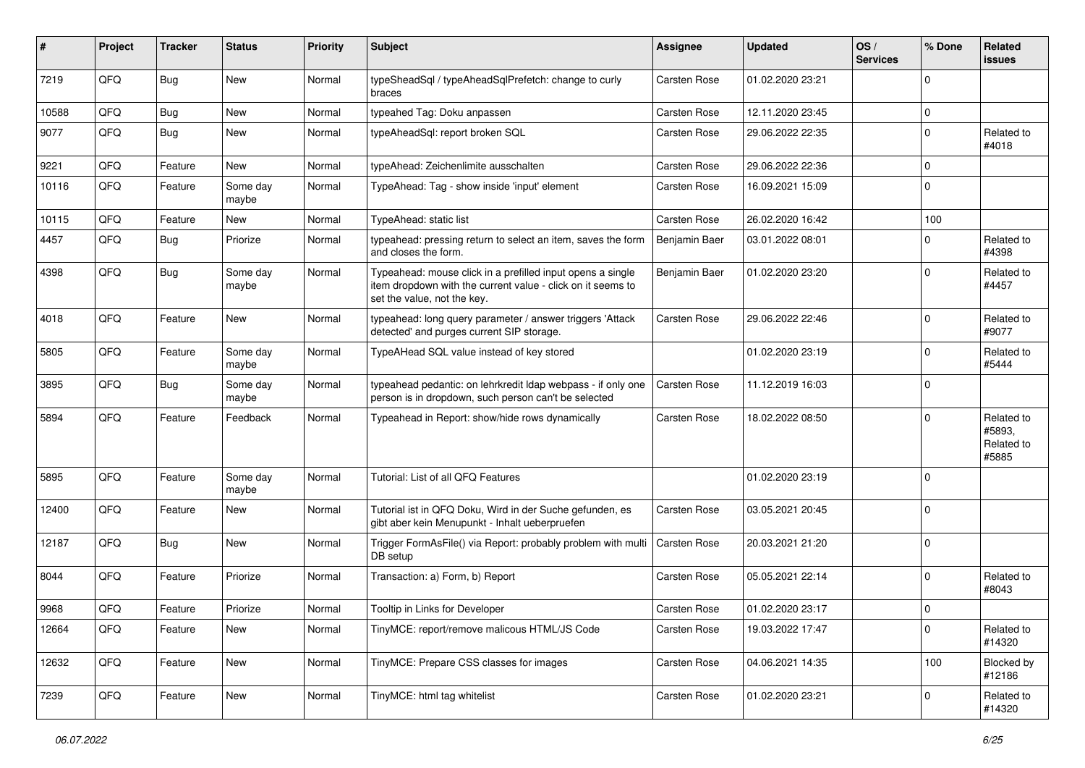| #     | Project | <b>Tracker</b> | <b>Status</b>     | <b>Priority</b> | Subject                                                                                                                                                  | <b>Assignee</b>     | <b>Updated</b>   | OS/<br><b>Services</b> | % Done      | Related<br><b>issues</b>                    |
|-------|---------|----------------|-------------------|-----------------|----------------------------------------------------------------------------------------------------------------------------------------------------------|---------------------|------------------|------------------------|-------------|---------------------------------------------|
| 7219  | QFQ     | Bug            | <b>New</b>        | Normal          | typeSheadSql / typeAheadSqlPrefetch: change to curly<br>braces                                                                                           | <b>Carsten Rose</b> | 01.02.2020 23:21 |                        | $\Omega$    |                                             |
| 10588 | QFQ     | <b>Bug</b>     | <b>New</b>        | Normal          | typeahed Tag: Doku anpassen                                                                                                                              | Carsten Rose        | 12.11.2020 23:45 |                        | $\mathbf 0$ |                                             |
| 9077  | QFQ     | <b>Bug</b>     | New               | Normal          | typeAheadSql: report broken SQL                                                                                                                          | Carsten Rose        | 29.06.2022 22:35 |                        | $\Omega$    | Related to<br>#4018                         |
| 9221  | QFQ     | Feature        | <b>New</b>        | Normal          | typeAhead: Zeichenlimite ausschalten                                                                                                                     | Carsten Rose        | 29.06.2022 22:36 |                        | $\mathbf 0$ |                                             |
| 10116 | QFQ     | Feature        | Some day<br>maybe | Normal          | TypeAhead: Tag - show inside 'input' element                                                                                                             | Carsten Rose        | 16.09.2021 15:09 |                        | $\Omega$    |                                             |
| 10115 | QFQ     | Feature        | New               | Normal          | TypeAhead: static list                                                                                                                                   | Carsten Rose        | 26.02.2020 16:42 |                        | 100         |                                             |
| 4457  | QFQ     | Bug            | Priorize          | Normal          | typeahead: pressing return to select an item, saves the form<br>and closes the form.                                                                     | Benjamin Baer       | 03.01.2022 08:01 |                        | 0           | Related to<br>#4398                         |
| 4398  | QFQ     | Bug            | Some day<br>maybe | Normal          | Typeahead: mouse click in a prefilled input opens a single<br>item dropdown with the current value - click on it seems to<br>set the value, not the key. | Benjamin Baer       | 01.02.2020 23:20 |                        | $\Omega$    | Related to<br>#4457                         |
| 4018  | QFQ     | Feature        | New               | Normal          | typeahead: long query parameter / answer triggers 'Attack<br>detected' and purges current SIP storage.                                                   | <b>Carsten Rose</b> | 29.06.2022 22:46 |                        | $\Omega$    | Related to<br>#9077                         |
| 5805  | QFQ     | Feature        | Some day<br>maybe | Normal          | TypeAHead SQL value instead of key stored                                                                                                                |                     | 01.02.2020 23:19 |                        | $\Omega$    | Related to<br>#5444                         |
| 3895  | QFQ     | Bug            | Some day<br>maybe | Normal          | typeahead pedantic: on lehrkredit Idap webpass - if only one<br>person is in dropdown, such person can't be selected                                     | Carsten Rose        | 11.12.2019 16:03 |                        | $\Omega$    |                                             |
| 5894  | QFQ     | Feature        | Feedback          | Normal          | Typeahead in Report: show/hide rows dynamically                                                                                                          | Carsten Rose        | 18.02.2022 08:50 |                        | $\Omega$    | Related to<br>#5893,<br>Related to<br>#5885 |
| 5895  | QFQ     | Feature        | Some day<br>maybe | Normal          | Tutorial: List of all QFQ Features                                                                                                                       |                     | 01.02.2020 23:19 |                        | $\Omega$    |                                             |
| 12400 | QFQ     | Feature        | New               | Normal          | Tutorial ist in QFQ Doku, Wird in der Suche gefunden, es<br>gibt aber kein Menupunkt - Inhalt ueberpruefen                                               | Carsten Rose        | 03.05.2021 20:45 |                        | $\Omega$    |                                             |
| 12187 | QFQ     | Bug            | New               | Normal          | Trigger FormAsFile() via Report: probably problem with multi<br>DB setup                                                                                 | <b>Carsten Rose</b> | 20.03.2021 21:20 |                        | $\mathbf 0$ |                                             |
| 8044  | QFQ     | Feature        | Priorize          | Normal          | Transaction: a) Form, b) Report                                                                                                                          | <b>Carsten Rose</b> | 05.05.2021 22:14 |                        | $\mathbf 0$ | Related to<br>#8043                         |
| 9968  | QFQ     | Feature        | Priorize          | Normal          | Tooltip in Links for Developer                                                                                                                           | <b>Carsten Rose</b> | 01.02.2020 23:17 |                        | $\Omega$    |                                             |
| 12664 | QFQ     | Feature        | New               | Normal          | TinyMCE: report/remove malicous HTML/JS Code                                                                                                             | Carsten Rose        | 19.03.2022 17:47 |                        | $\mathbf 0$ | Related to<br>#14320                        |
| 12632 | QFQ     | Feature        | New               | Normal          | TinyMCE: Prepare CSS classes for images                                                                                                                  | Carsten Rose        | 04.06.2021 14:35 |                        | 100         | Blocked by<br>#12186                        |
| 7239  | QFQ     | Feature        | New               | Normal          | TinyMCE: html tag whitelist                                                                                                                              | Carsten Rose        | 01.02.2020 23:21 |                        | 0           | Related to<br>#14320                        |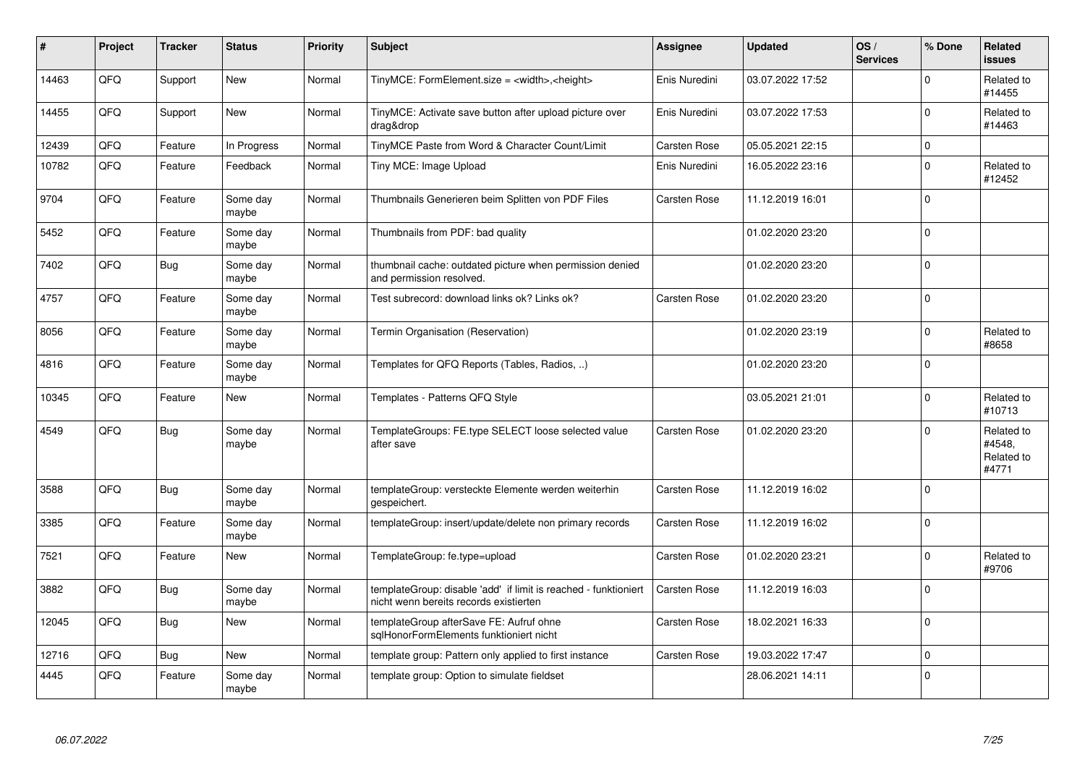| $\vert$ # | Project | <b>Tracker</b> | <b>Status</b>     | <b>Priority</b> | <b>Subject</b>                                                                                            | Assignee      | <b>Updated</b>   | OS/<br><b>Services</b> | % Done      | Related<br><b>issues</b>                    |
|-----------|---------|----------------|-------------------|-----------------|-----------------------------------------------------------------------------------------------------------|---------------|------------------|------------------------|-------------|---------------------------------------------|
| 14463     | QFQ     | Support        | <b>New</b>        | Normal          | TinyMCE: FormElement.size = <width>,<height></height></width>                                             | Enis Nuredini | 03.07.2022 17:52 |                        | $\Omega$    | Related to<br>#14455                        |
| 14455     | QFQ     | Support        | New               | Normal          | TinyMCE: Activate save button after upload picture over<br>drag&drop                                      | Enis Nuredini | 03.07.2022 17:53 |                        | $\Omega$    | Related to<br>#14463                        |
| 12439     | QFQ     | Feature        | In Progress       | Normal          | TinyMCE Paste from Word & Character Count/Limit                                                           | Carsten Rose  | 05.05.2021 22:15 |                        | $\pmb{0}$   |                                             |
| 10782     | QFQ     | Feature        | Feedback          | Normal          | Tiny MCE: Image Upload                                                                                    | Enis Nuredini | 16.05.2022 23:16 |                        | $\mathbf 0$ | Related to<br>#12452                        |
| 9704      | QFQ     | Feature        | Some day<br>maybe | Normal          | Thumbnails Generieren beim Splitten von PDF Files                                                         | Carsten Rose  | 11.12.2019 16:01 |                        | $\mathbf 0$ |                                             |
| 5452      | QFQ     | Feature        | Some day<br>maybe | Normal          | Thumbnails from PDF: bad quality                                                                          |               | 01.02.2020 23:20 |                        | $\Omega$    |                                             |
| 7402      | QFQ     | Bug            | Some day<br>maybe | Normal          | thumbnail cache: outdated picture when permission denied<br>and permission resolved.                      |               | 01.02.2020 23:20 |                        | $\Omega$    |                                             |
| 4757      | QFQ     | Feature        | Some day<br>maybe | Normal          | Test subrecord: download links ok? Links ok?                                                              | Carsten Rose  | 01.02.2020 23:20 |                        | $\mathbf 0$ |                                             |
| 8056      | QFQ     | Feature        | Some day<br>maybe | Normal          | Termin Organisation (Reservation)                                                                         |               | 01.02.2020 23:19 |                        | $\mathbf 0$ | Related to<br>#8658                         |
| 4816      | QFQ     | Feature        | Some day<br>maybe | Normal          | Templates for QFQ Reports (Tables, Radios, )                                                              |               | 01.02.2020 23:20 |                        | $\Omega$    |                                             |
| 10345     | QFQ     | Feature        | <b>New</b>        | Normal          | Templates - Patterns QFQ Style                                                                            |               | 03.05.2021 21:01 |                        | $\Omega$    | Related to<br>#10713                        |
| 4549      | QFQ     | Bug            | Some day<br>maybe | Normal          | TemplateGroups: FE.type SELECT loose selected value<br>after save                                         | Carsten Rose  | 01.02.2020 23:20 |                        | $\Omega$    | Related to<br>#4548,<br>Related to<br>#4771 |
| 3588      | QFQ     | Bug            | Some day<br>maybe | Normal          | templateGroup: versteckte Elemente werden weiterhin<br>gespeichert.                                       | Carsten Rose  | 11.12.2019 16:02 |                        | $\Omega$    |                                             |
| 3385      | QFQ     | Feature        | Some day<br>maybe | Normal          | templateGroup: insert/update/delete non primary records                                                   | Carsten Rose  | 11.12.2019 16:02 |                        | $\Omega$    |                                             |
| 7521      | QFQ     | Feature        | New               | Normal          | TemplateGroup: fe.type=upload                                                                             | Carsten Rose  | 01.02.2020 23:21 |                        | $\Omega$    | Related to<br>#9706                         |
| 3882      | QFQ     | Bug            | Some day<br>maybe | Normal          | templateGroup: disable 'add' if limit is reached - funktioniert<br>nicht wenn bereits records existierten | Carsten Rose  | 11.12.2019 16:03 |                        | $\Omega$    |                                             |
| 12045     | QFQ     | Bug            | New               | Normal          | templateGroup afterSave FE: Aufruf ohne<br>sqlHonorFormElements funktioniert nicht                        | Carsten Rose  | 18.02.2021 16:33 |                        | $\Omega$    |                                             |
| 12716     | QFQ     | Bug            | <b>New</b>        | Normal          | template group: Pattern only applied to first instance                                                    | Carsten Rose  | 19.03.2022 17:47 |                        | $\mathbf 0$ |                                             |
| 4445      | QFQ     | Feature        | Some day<br>maybe | Normal          | template group: Option to simulate fieldset                                                               |               | 28.06.2021 14:11 |                        | $\Omega$    |                                             |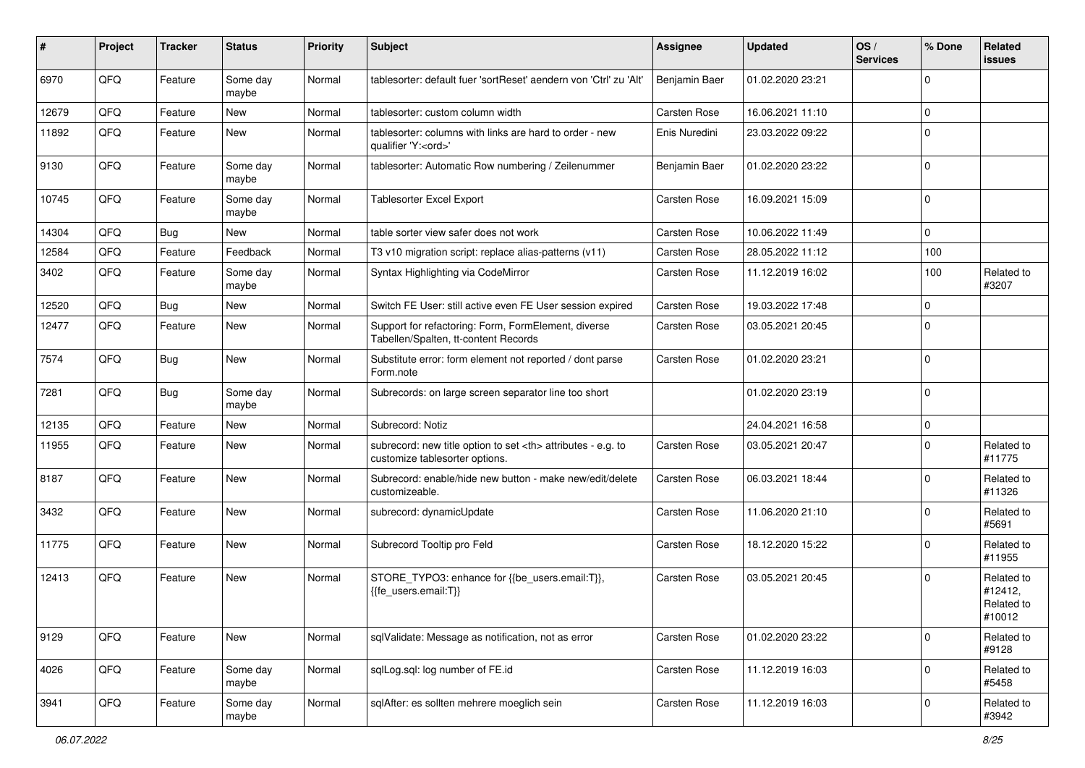| ∦     | Project | <b>Tracker</b> | <b>Status</b>     | <b>Priority</b> | <b>Subject</b>                                                                                       | <b>Assignee</b>                                        | <b>Updated</b>   | OS/<br><b>Services</b> | % Done      | Related<br><b>issues</b>                      |                      |
|-------|---------|----------------|-------------------|-----------------|------------------------------------------------------------------------------------------------------|--------------------------------------------------------|------------------|------------------------|-------------|-----------------------------------------------|----------------------|
| 6970  | QFQ     | Feature        | Some day<br>maybe | Normal          | tablesorter: default fuer 'sortReset' aendern von 'Ctrl' zu 'Alt'                                    | Benjamin Baer                                          | 01.02.2020 23:21 |                        | $\Omega$    |                                               |                      |
| 12679 | QFQ     | Feature        | New               | Normal          | tablesorter: custom column width                                                                     | <b>Carsten Rose</b>                                    | 16.06.2021 11:10 |                        | $\mathbf 0$ |                                               |                      |
| 11892 | QFQ     | Feature        | New               | Normal          | tablesorter: columns with links are hard to order - new<br>qualifier 'Y: <ord>'</ord>                | Enis Nuredini                                          | 23.03.2022 09:22 |                        | $\Omega$    |                                               |                      |
| 9130  | QFQ     | Feature        | Some day<br>maybe | Normal          | tablesorter: Automatic Row numbering / Zeilenummer                                                   | Benjamin Baer                                          | 01.02.2020 23:22 |                        | $\mathbf 0$ |                                               |                      |
| 10745 | QFQ     | Feature        | Some day<br>maybe | Normal          | <b>Tablesorter Excel Export</b>                                                                      | Carsten Rose                                           | 16.09.2021 15:09 |                        | $\Omega$    |                                               |                      |
| 14304 | QFQ     | Bug            | New               | Normal          | table sorter view safer does not work                                                                | Carsten Rose                                           | 10.06.2022 11:49 |                        | $\mathbf 0$ |                                               |                      |
| 12584 | QFQ     | Feature        | Feedback          | Normal          | T3 v10 migration script: replace alias-patterns (v11)                                                | Carsten Rose                                           | 28.05.2022 11:12 |                        | 100         |                                               |                      |
| 3402  | QFQ     | Feature        | Some day<br>maybe | Normal          | Syntax Highlighting via CodeMirror                                                                   | Carsten Rose                                           | 11.12.2019 16:02 |                        | 100         | Related to<br>#3207                           |                      |
| 12520 | QFQ     | Bug            | New               | Normal          | Switch FE User: still active even FE User session expired                                            | <b>Carsten Rose</b>                                    | 19.03.2022 17:48 |                        | $\mathbf 0$ |                                               |                      |
| 12477 | QFQ     | Feature        | <b>New</b>        | Normal          | Support for refactoring: Form, FormElement, diverse<br>Tabellen/Spalten, tt-content Records          | Carsten Rose                                           | 03.05.2021 20:45 |                        | $\mathbf 0$ |                                               |                      |
| 7574  | QFQ     | Bug            | <b>New</b>        | Normal          | Substitute error: form element not reported / dont parse<br>Form.note                                | Carsten Rose                                           | 01.02.2020 23:21 |                        | 0           |                                               |                      |
| 7281  | QFQ     | Bug            | Some day<br>maybe | Normal          | Subrecords: on large screen separator line too short                                                 |                                                        | 01.02.2020 23:19 |                        | $\Omega$    |                                               |                      |
| 12135 | QFQ     | Feature        | New               | Normal          | Subrecord: Notiz                                                                                     |                                                        | 24.04.2021 16:58 |                        | $\mathbf 0$ |                                               |                      |
| 11955 | QFQ     | Feature        | New               | Normal          | subrecord: new title option to set <th> attributes - e.g. to<br/>customize tablesorter options.</th> | attributes - e.g. to<br>customize tablesorter options. | Carsten Rose     | 03.05.2021 20:47       |             | $\mathbf 0$                                   | Related to<br>#11775 |
| 8187  | QFQ     | Feature        | <b>New</b>        | Normal          | Subrecord: enable/hide new button - make new/edit/delete<br>customizeable.                           | Carsten Rose                                           | 06.03.2021 18:44 |                        | $\Omega$    | Related to<br>#11326                          |                      |
| 3432  | QFQ     | Feature        | <b>New</b>        | Normal          | subrecord: dynamicUpdate                                                                             | Carsten Rose                                           | 11.06.2020 21:10 |                        | $\Omega$    | Related to<br>#5691                           |                      |
| 11775 | QFQ     | Feature        | <b>New</b>        | Normal          | Subrecord Tooltip pro Feld                                                                           | Carsten Rose                                           | 18.12.2020 15:22 |                        | $\Omega$    | Related to<br>#11955                          |                      |
| 12413 | QFQ     | Feature        | <b>New</b>        | Normal          | STORE_TYPO3: enhance for {{be_users.email:T}},<br>{{fe users.email:T}}                               | Carsten Rose                                           | 03.05.2021 20:45 |                        | $\Omega$    | Related to<br>#12412,<br>Related to<br>#10012 |                      |
| 9129  | QFQ     | Feature        | New               | Normal          | sqlValidate: Message as notification, not as error                                                   | Carsten Rose                                           | 01.02.2020 23:22 |                        | $\mathbf 0$ | Related to<br>#9128                           |                      |
| 4026  | QFO     | Feature        | Some day<br>maybe | Normal          | sqlLog.sql: log number of FE.id                                                                      | Carsten Rose                                           | 11.12.2019 16:03 |                        | $\mathbf 0$ | Related to<br>#5458                           |                      |
| 3941  | QFO     | Feature        | Some day<br>maybe | Normal          | sqlAfter: es sollten mehrere moeglich sein                                                           | Carsten Rose                                           | 11.12.2019 16:03 |                        | 0           | Related to<br>#3942                           |                      |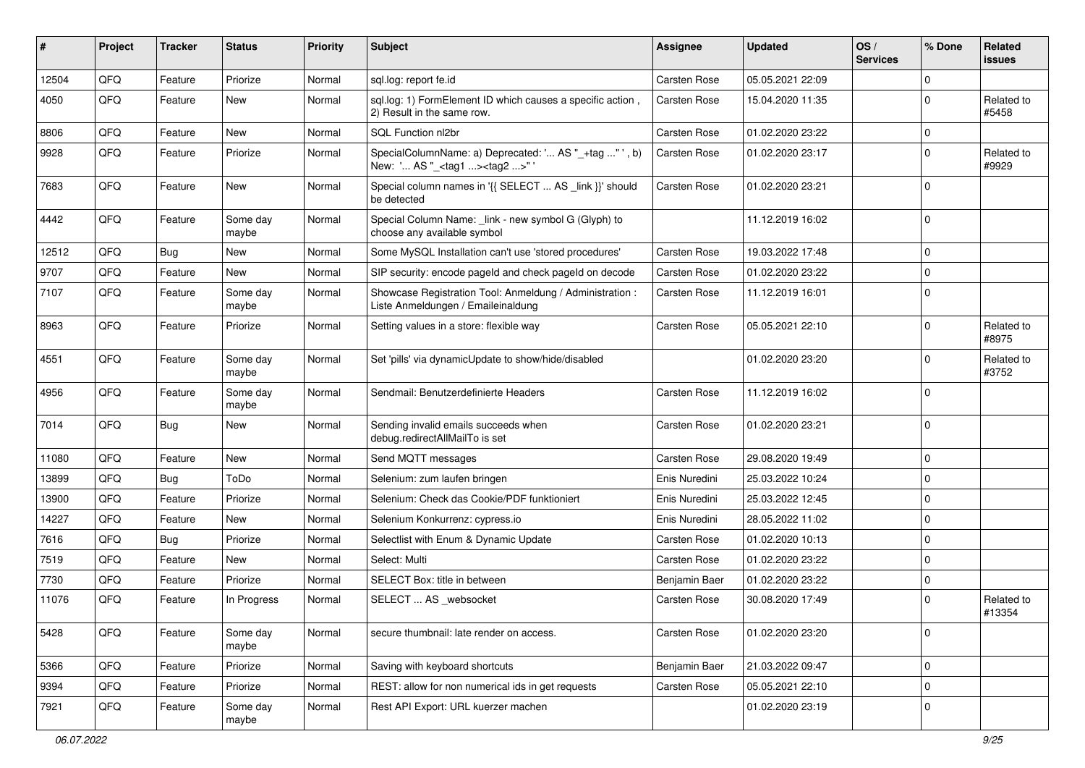| #     | Project | <b>Tracker</b> | <b>Status</b>     | <b>Priority</b> | <b>Subject</b>                                                                                    | Assignee            | <b>Updated</b>   | OS/<br><b>Services</b> | % Done      | Related<br><b>issues</b> |
|-------|---------|----------------|-------------------|-----------------|---------------------------------------------------------------------------------------------------|---------------------|------------------|------------------------|-------------|--------------------------|
| 12504 | QFQ     | Feature        | Priorize          | Normal          | sql.log: report fe.id                                                                             | <b>Carsten Rose</b> | 05.05.2021 22:09 |                        | $\Omega$    |                          |
| 4050  | QFQ     | Feature        | New               | Normal          | sql.log: 1) FormElement ID which causes a specific action,<br>2) Result in the same row.          | Carsten Rose        | 15.04.2020 11:35 |                        | 0           | Related to<br>#5458      |
| 8806  | QFQ     | Feature        | <b>New</b>        | Normal          | SQL Function nl2br                                                                                | Carsten Rose        | 01.02.2020 23:22 |                        | 0           |                          |
| 9928  | QFQ     | Feature        | Priorize          | Normal          | SpecialColumnName: a) Deprecated: ' AS "_+tag " ', b)<br>New: ' AS "_ <tag1><tag2>"</tag2></tag1> | Carsten Rose        | 01.02.2020 23:17 |                        | 0           | Related to<br>#9929      |
| 7683  | QFQ     | Feature        | <b>New</b>        | Normal          | Special column names in '{{ SELECT  AS _link }}' should<br>be detected                            | Carsten Rose        | 01.02.2020 23:21 |                        | $\Omega$    |                          |
| 4442  | QFQ     | Feature        | Some day<br>maybe | Normal          | Special Column Name: _link - new symbol G (Glyph) to<br>choose any available symbol               |                     | 11.12.2019 16:02 |                        | 0           |                          |
| 12512 | QFQ     | Bug            | <b>New</b>        | Normal          | Some MySQL Installation can't use 'stored procedures'                                             | Carsten Rose        | 19.03.2022 17:48 |                        | $\Omega$    |                          |
| 9707  | QFQ     | Feature        | <b>New</b>        | Normal          | SIP security: encode pageld and check pageld on decode                                            | Carsten Rose        | 01.02.2020 23:22 |                        | 0           |                          |
| 7107  | QFQ     | Feature        | Some day<br>maybe | Normal          | Showcase Registration Tool: Anmeldung / Administration :<br>Liste Anmeldungen / Emaileinaldung    | Carsten Rose        | 11.12.2019 16:01 |                        | 0           |                          |
| 8963  | QFQ     | Feature        | Priorize          | Normal          | Setting values in a store: flexible way                                                           | Carsten Rose        | 05.05.2021 22:10 |                        | $\Omega$    | Related to<br>#8975      |
| 4551  | QFQ     | Feature        | Some day<br>maybe | Normal          | Set 'pills' via dynamicUpdate to show/hide/disabled                                               |                     | 01.02.2020 23:20 |                        | 0           | Related to<br>#3752      |
| 4956  | QFQ     | Feature        | Some day<br>maybe | Normal          | Sendmail: Benutzerdefinierte Headers                                                              | Carsten Rose        | 11.12.2019 16:02 |                        | $\Omega$    |                          |
| 7014  | QFQ     | Bug            | <b>New</b>        | Normal          | Sending invalid emails succeeds when<br>debug.redirectAllMailTo is set                            | Carsten Rose        | 01.02.2020 23:21 |                        | $\Omega$    |                          |
| 11080 | QFQ     | Feature        | <b>New</b>        | Normal          | Send MQTT messages                                                                                | Carsten Rose        | 29.08.2020 19:49 |                        | $\mathbf 0$ |                          |
| 13899 | QFQ     | <b>Bug</b>     | ToDo              | Normal          | Selenium: zum laufen bringen                                                                      | Enis Nuredini       | 25.03.2022 10:24 |                        | 0           |                          |
| 13900 | QFQ     | Feature        | Priorize          | Normal          | Selenium: Check das Cookie/PDF funktioniert                                                       | Enis Nuredini       | 25.03.2022 12:45 |                        | $\mathbf 0$ |                          |
| 14227 | QFQ     | Feature        | New               | Normal          | Selenium Konkurrenz: cypress.io                                                                   | Enis Nuredini       | 28.05.2022 11:02 |                        | $\Omega$    |                          |
| 7616  | QFQ     | <b>Bug</b>     | Priorize          | Normal          | Selectlist with Enum & Dynamic Update                                                             | Carsten Rose        | 01.02.2020 10:13 |                        | 0           |                          |
| 7519  | QFQ     | Feature        | New               | Normal          | Select: Multi                                                                                     | Carsten Rose        | 01.02.2020 23:22 |                        | 0           |                          |
| 7730  | QFQ     | Feature        | Priorize          | Normal          | SELECT Box: title in between                                                                      | Benjamin Baer       | 01.02.2020 23:22 |                        | 0           |                          |
| 11076 | QFQ     | Feature        | In Progress       | Normal          | SELECT  AS _websocket                                                                             | Carsten Rose        | 30.08.2020 17:49 |                        | $\Omega$    | Related to<br>#13354     |
| 5428  | QFQ     | Feature        | Some day<br>maybe | Normal          | secure thumbnail: late render on access.                                                          | Carsten Rose        | 01.02.2020 23:20 |                        | 0           |                          |
| 5366  | QFQ     | Feature        | Priorize          | Normal          | Saving with keyboard shortcuts                                                                    | Benjamin Baer       | 21.03.2022 09:47 |                        | 0           |                          |
| 9394  | QFQ     | Feature        | Priorize          | Normal          | REST: allow for non numerical ids in get requests                                                 | Carsten Rose        | 05.05.2021 22:10 |                        | 0           |                          |
| 7921  | QFQ     | Feature        | Some day<br>maybe | Normal          | Rest API Export: URL kuerzer machen                                                               |                     | 01.02.2020 23:19 |                        | 0           |                          |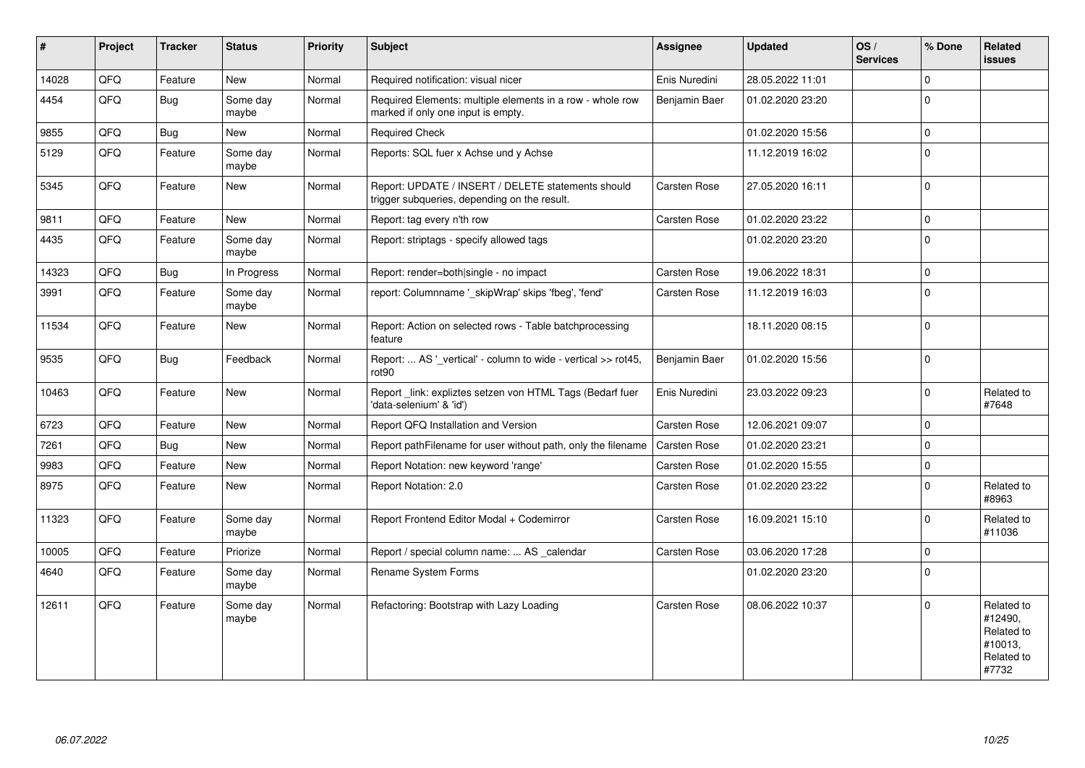| $\vert$ # | Project | <b>Tracker</b> | <b>Status</b>     | <b>Priority</b> | Subject                                                                                            | Assignee            | <b>Updated</b>   | OS/<br><b>Services</b> | % Done       | Related<br><b>issues</b>                                              |
|-----------|---------|----------------|-------------------|-----------------|----------------------------------------------------------------------------------------------------|---------------------|------------------|------------------------|--------------|-----------------------------------------------------------------------|
| 14028     | QFQ     | Feature        | New               | Normal          | Required notification: visual nicer                                                                | Enis Nuredini       | 28.05.2022 11:01 |                        | $\Omega$     |                                                                       |
| 4454      | QFQ     | Bug            | Some day<br>maybe | Normal          | Required Elements: multiple elements in a row - whole row<br>marked if only one input is empty.    | Benjamin Baer       | 01.02.2020 23:20 |                        | $\Omega$     |                                                                       |
| 9855      | QFQ     | Bug            | New               | Normal          | <b>Required Check</b>                                                                              |                     | 01.02.2020 15:56 |                        | $\mathbf 0$  |                                                                       |
| 5129      | QFQ     | Feature        | Some day<br>maybe | Normal          | Reports: SQL fuer x Achse und y Achse                                                              |                     | 11.12.2019 16:02 |                        | $\Omega$     |                                                                       |
| 5345      | QFQ     | Feature        | New               | Normal          | Report: UPDATE / INSERT / DELETE statements should<br>trigger subqueries, depending on the result. | Carsten Rose        | 27.05.2020 16:11 |                        | $\mathbf 0$  |                                                                       |
| 9811      | QFQ     | Feature        | New               | Normal          | Report: tag every n'th row                                                                         | Carsten Rose        | 01.02.2020 23:22 |                        | $\Omega$     |                                                                       |
| 4435      | QFQ     | Feature        | Some day<br>maybe | Normal          | Report: striptags - specify allowed tags                                                           |                     | 01.02.2020 23:20 |                        | $\mathbf 0$  |                                                                       |
| 14323     | QFQ     | Bug            | In Progress       | Normal          | Report: render=both single - no impact                                                             | Carsten Rose        | 19.06.2022 18:31 |                        | $\Omega$     |                                                                       |
| 3991      | QFQ     | Feature        | Some day<br>maybe | Normal          | report: Columnname ' skipWrap' skips 'fbeg', 'fend'                                                | Carsten Rose        | 11.12.2019 16:03 |                        | $\mathbf 0$  |                                                                       |
| 11534     | QFQ     | Feature        | <b>New</b>        | Normal          | Report: Action on selected rows - Table batchprocessing<br>feature                                 |                     | 18.11.2020 08:15 |                        | $\mathbf{0}$ |                                                                       |
| 9535      | QFQ     | <b>Bug</b>     | Feedback          | Normal          | Report:  AS '_vertical' - column to wide - vertical >> rot45,<br>rot90                             | Benjamin Baer       | 01.02.2020 15:56 |                        | $\Omega$     |                                                                       |
| 10463     | QFQ     | Feature        | New               | Normal          | Report_link: expliztes setzen von HTML Tags (Bedarf fuer<br>'data-selenium' & 'id')                | Enis Nuredini       | 23.03.2022 09:23 |                        | $\Omega$     | Related to<br>#7648                                                   |
| 6723      | QFQ     | Feature        | <b>New</b>        | Normal          | Report QFQ Installation and Version                                                                | Carsten Rose        | 12.06.2021 09:07 |                        | $\Omega$     |                                                                       |
| 7261      | QFQ     | Bug            | <b>New</b>        | Normal          | Report pathFilename for user without path, only the filename                                       | <b>Carsten Rose</b> | 01.02.2020 23:21 |                        | $\Omega$     |                                                                       |
| 9983      | QFQ     | Feature        | New               | Normal          | Report Notation: new keyword 'range'                                                               | Carsten Rose        | 01.02.2020 15:55 |                        | $\Omega$     |                                                                       |
| 8975      | QFO     | Feature        | <b>New</b>        | Normal          | Report Notation: 2.0                                                                               | Carsten Rose        | 01.02.2020 23:22 |                        | $\mathbf{0}$ | Related to<br>#8963                                                   |
| 11323     | QFQ     | Feature        | Some day<br>maybe | Normal          | Report Frontend Editor Modal + Codemirror                                                          | Carsten Rose        | 16.09.2021 15:10 |                        | $\Omega$     | Related to<br>#11036                                                  |
| 10005     | QFQ     | Feature        | Priorize          | Normal          | Report / special column name:  AS calendar                                                         | Carsten Rose        | 03.06.2020 17:28 |                        | $\Omega$     |                                                                       |
| 4640      | QFQ     | Feature        | Some day<br>maybe | Normal          | <b>Rename System Forms</b>                                                                         |                     | 01.02.2020 23:20 |                        | $\mathbf{0}$ |                                                                       |
| 12611     | QFQ     | Feature        | Some day<br>maybe | Normal          | Refactoring: Bootstrap with Lazy Loading                                                           | Carsten Rose        | 08.06.2022 10:37 |                        | $\mathbf{0}$ | Related to<br>#12490,<br>Related to<br>#10013,<br>Related to<br>#7732 |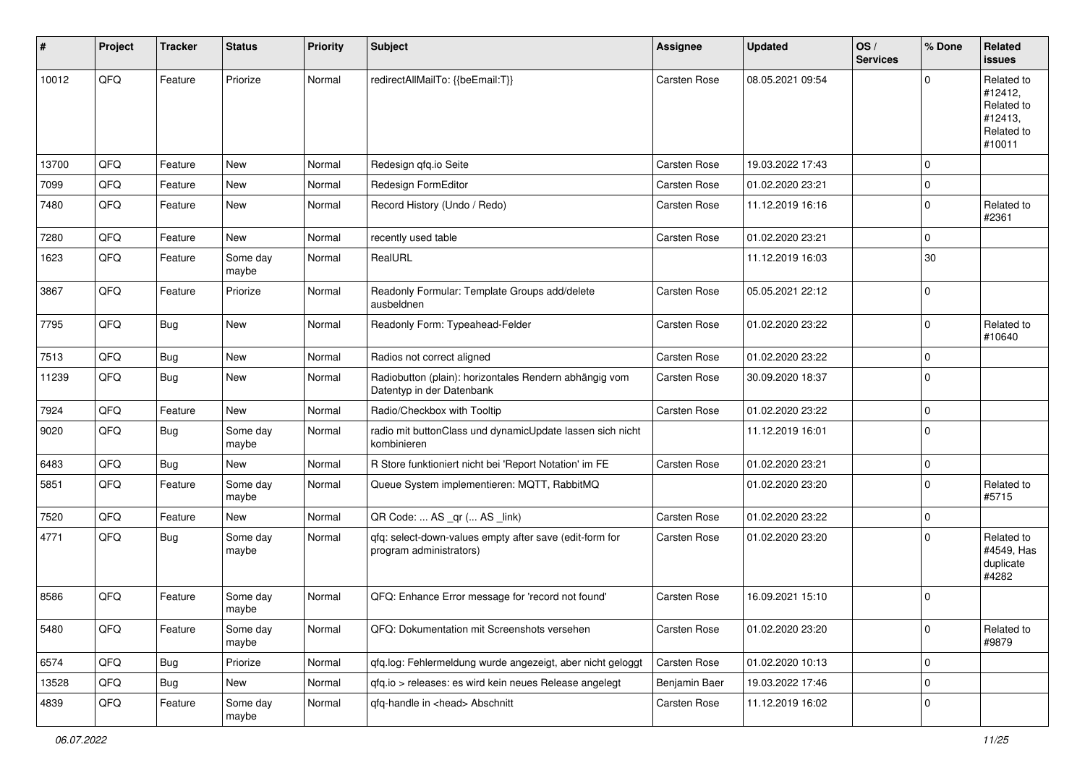| #     | Project | <b>Tracker</b> | <b>Status</b>     | <b>Priority</b> | <b>Subject</b>                                                                      | <b>Assignee</b>     | <b>Updated</b>   | OS/<br><b>Services</b> | % Done      | Related<br><b>issues</b>                                               |
|-------|---------|----------------|-------------------|-----------------|-------------------------------------------------------------------------------------|---------------------|------------------|------------------------|-------------|------------------------------------------------------------------------|
| 10012 | QFQ     | Feature        | Priorize          | Normal          | redirectAllMailTo: {{beEmail:T}}                                                    | <b>Carsten Rose</b> | 08.05.2021 09:54 |                        | $\Omega$    | Related to<br>#12412,<br>Related to<br>#12413,<br>Related to<br>#10011 |
| 13700 | QFQ     | Feature        | <b>New</b>        | Normal          | Redesign qfq.io Seite                                                               | Carsten Rose        | 19.03.2022 17:43 |                        | $\mathbf 0$ |                                                                        |
| 7099  | QFQ     | Feature        | New               | Normal          | Redesign FormEditor                                                                 | Carsten Rose        | 01.02.2020 23:21 |                        | $\mathbf 0$ |                                                                        |
| 7480  | QFQ     | Feature        | New               | Normal          | Record History (Undo / Redo)                                                        | Carsten Rose        | 11.12.2019 16:16 |                        | 0           | Related to<br>#2361                                                    |
| 7280  | QFQ     | Feature        | New               | Normal          | recently used table                                                                 | Carsten Rose        | 01.02.2020 23:21 |                        | $\mathbf 0$ |                                                                        |
| 1623  | QFQ     | Feature        | Some day<br>maybe | Normal          | RealURL                                                                             |                     | 11.12.2019 16:03 |                        | 30          |                                                                        |
| 3867  | QFQ     | Feature        | Priorize          | Normal          | Readonly Formular: Template Groups add/delete<br>ausbeldnen                         | <b>Carsten Rose</b> | 05.05.2021 22:12 |                        | $\mathbf 0$ |                                                                        |
| 7795  | QFQ     | <b>Bug</b>     | <b>New</b>        | Normal          | Readonly Form: Typeahead-Felder                                                     | Carsten Rose        | 01.02.2020 23:22 |                        | $\Omega$    | Related to<br>#10640                                                   |
| 7513  | QFQ     | <b>Bug</b>     | New               | Normal          | Radios not correct aligned                                                          | Carsten Rose        | 01.02.2020 23:22 |                        | $\mathbf 0$ |                                                                        |
| 11239 | QFQ     | Bug            | <b>New</b>        | Normal          | Radiobutton (plain): horizontales Rendern abhängig vom<br>Datentyp in der Datenbank | Carsten Rose        | 30.09.2020 18:37 |                        | $\Omega$    |                                                                        |
| 7924  | QFQ     | Feature        | New               | Normal          | Radio/Checkbox with Tooltip                                                         | Carsten Rose        | 01.02.2020 23:22 |                        | $\mathbf 0$ |                                                                        |
| 9020  | QFQ     | Bug            | Some day<br>maybe | Normal          | radio mit buttonClass und dynamicUpdate lassen sich nicht<br>kombinieren            |                     | 11.12.2019 16:01 |                        | $\mathbf 0$ |                                                                        |
| 6483  | QFQ     | Bug            | New               | Normal          | R Store funktioniert nicht bei 'Report Notation' im FE                              | Carsten Rose        | 01.02.2020 23:21 |                        | $\mathbf 0$ |                                                                        |
| 5851  | QFQ     | Feature        | Some day<br>maybe | Normal          | Queue System implementieren: MQTT, RabbitMQ                                         |                     | 01.02.2020 23:20 |                        | $\mathbf 0$ | Related to<br>#5715                                                    |
| 7520  | QFQ     | Feature        | <b>New</b>        | Normal          | QR Code:  AS _qr ( AS _link)                                                        | Carsten Rose        | 01.02.2020 23:22 |                        | $\mathbf 0$ |                                                                        |
| 4771  | QFQ     | Bug            | Some day<br>maybe | Normal          | qfq: select-down-values empty after save (edit-form for<br>program administrators)  | Carsten Rose        | 01.02.2020 23:20 |                        | $\mathbf 0$ | Related to<br>#4549, Has<br>duplicate<br>#4282                         |
| 8586  | QFQ     | Feature        | Some day<br>maybe | Normal          | QFQ: Enhance Error message for 'record not found'                                   | Carsten Rose        | 16.09.2021 15:10 |                        | $\mathbf 0$ |                                                                        |
| 5480  | QFQ     | Feature        | Some day<br>maybe | Normal          | QFQ: Dokumentation mit Screenshots versehen                                         | Carsten Rose        | 01.02.2020 23:20 |                        | $\mathbf 0$ | Related to<br>#9879                                                    |
| 6574  | QFQ     | <b>Bug</b>     | Priorize          | Normal          | qfq.log: Fehlermeldung wurde angezeigt, aber nicht geloggt                          | Carsten Rose        | 01.02.2020 10:13 |                        | $\mathbf 0$ |                                                                        |
| 13528 | QFQ     | <b>Bug</b>     | New               | Normal          | qfq.io > releases: es wird kein neues Release angelegt                              | Benjamin Baer       | 19.03.2022 17:46 |                        | $\mathbf 0$ |                                                                        |
| 4839  | QFQ     | Feature        | Some day<br>maybe | Normal          | qfq-handle in <head> Abschnitt</head>                                               | Carsten Rose        | 11.12.2019 16:02 |                        | $\mathbf 0$ |                                                                        |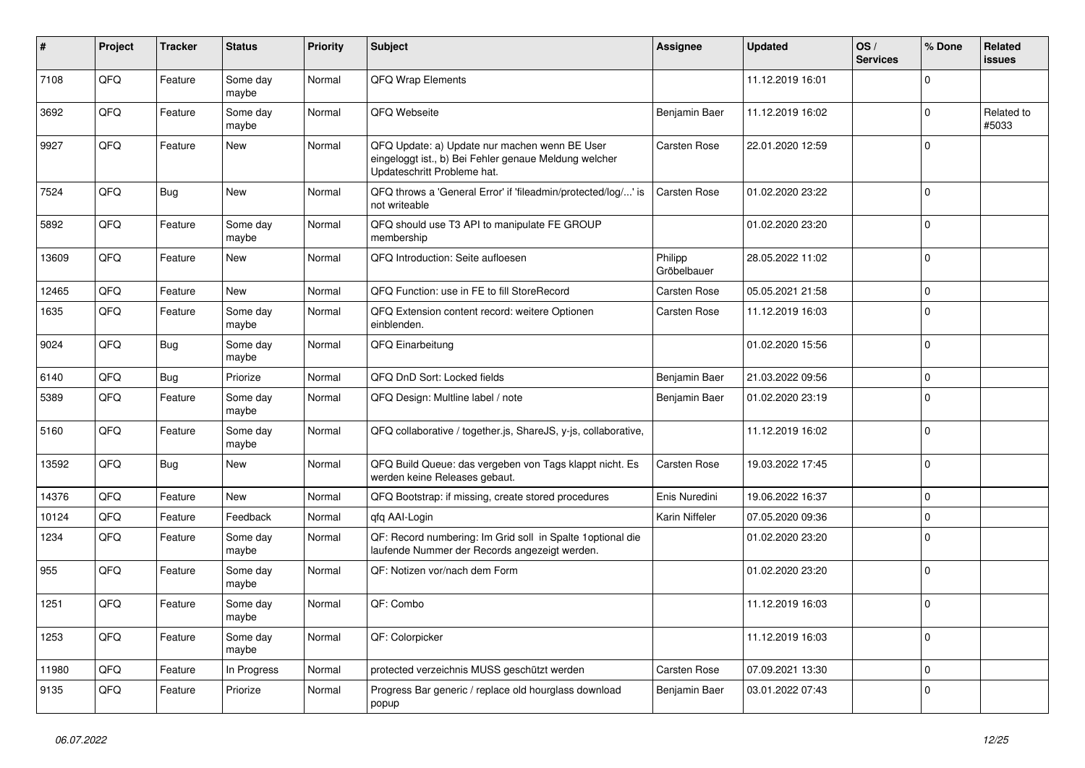| $\#$  | Project | <b>Tracker</b> | <b>Status</b>     | <b>Priority</b> | <b>Subject</b>                                                                                                                        | <b>Assignee</b>        | <b>Updated</b>   | OS/<br><b>Services</b> | % Done       | Related<br><b>issues</b> |
|-------|---------|----------------|-------------------|-----------------|---------------------------------------------------------------------------------------------------------------------------------------|------------------------|------------------|------------------------|--------------|--------------------------|
| 7108  | QFQ     | Feature        | Some day<br>maybe | Normal          | QFQ Wrap Elements                                                                                                                     |                        | 11.12.2019 16:01 |                        | 0            |                          |
| 3692  | QFQ     | Feature        | Some day<br>maybe | Normal          | QFQ Webseite                                                                                                                          | Benjamin Baer          | 11.12.2019 16:02 |                        | <sup>0</sup> | Related to<br>#5033      |
| 9927  | QFQ     | Feature        | New               | Normal          | QFQ Update: a) Update nur machen wenn BE User<br>eingeloggt ist., b) Bei Fehler genaue Meldung welcher<br>Updateschritt Probleme hat. | Carsten Rose           | 22.01.2020 12:59 |                        | $\Omega$     |                          |
| 7524  | QFQ     | Bug            | <b>New</b>        | Normal          | QFQ throws a 'General Error' if 'fileadmin/protected/log/' is<br>not writeable                                                        | Carsten Rose           | 01.02.2020 23:22 |                        | $\Omega$     |                          |
| 5892  | QFQ     | Feature        | Some day<br>maybe | Normal          | QFQ should use T3 API to manipulate FE GROUP<br>membership                                                                            |                        | 01.02.2020 23:20 |                        | $\Omega$     |                          |
| 13609 | QFQ     | Feature        | <b>New</b>        | Normal          | QFQ Introduction: Seite aufloesen                                                                                                     | Philipp<br>Gröbelbauer | 28.05.2022 11:02 |                        | $\Omega$     |                          |
| 12465 | QFQ     | Feature        | <b>New</b>        | Normal          | QFQ Function: use in FE to fill StoreRecord                                                                                           | Carsten Rose           | 05.05.2021 21:58 |                        | $\mathbf 0$  |                          |
| 1635  | QFQ     | Feature        | Some day<br>maybe | Normal          | QFQ Extension content record: weitere Optionen<br>einblenden.                                                                         | Carsten Rose           | 11.12.2019 16:03 |                        | $\Omega$     |                          |
| 9024  | QFQ     | Bug            | Some day<br>maybe | Normal          | QFQ Einarbeitung                                                                                                                      |                        | 01.02.2020 15:56 |                        | $\Omega$     |                          |
| 6140  | QFQ     | Bug            | Priorize          | Normal          | QFQ DnD Sort: Locked fields                                                                                                           | Benjamin Baer          | 21.03.2022 09:56 |                        | 0            |                          |
| 5389  | QFQ     | Feature        | Some day<br>maybe | Normal          | QFQ Design: Multline label / note                                                                                                     | Benjamin Baer          | 01.02.2020 23:19 |                        | 0            |                          |
| 5160  | QFQ     | Feature        | Some day<br>maybe | Normal          | QFQ collaborative / together.js, ShareJS, y-js, collaborative,                                                                        |                        | 11.12.2019 16:02 |                        | $\Omega$     |                          |
| 13592 | QFQ     | <b>Bug</b>     | New               | Normal          | QFQ Build Queue: das vergeben von Tags klappt nicht. Es<br>werden keine Releases gebaut.                                              | Carsten Rose           | 19.03.2022 17:45 |                        | 0            |                          |
| 14376 | QFQ     | Feature        | <b>New</b>        | Normal          | QFQ Bootstrap: if missing, create stored procedures                                                                                   | Enis Nuredini          | 19.06.2022 16:37 |                        | 0            |                          |
| 10124 | QFQ     | Feature        | Feedback          | Normal          | qfq AAI-Login                                                                                                                         | Karin Niffeler         | 07.05.2020 09:36 |                        | 0            |                          |
| 1234  | QFQ     | Feature        | Some day<br>maybe | Normal          | QF: Record numbering: Im Grid soll in Spalte 1 optional die<br>laufende Nummer der Records angezeigt werden.                          |                        | 01.02.2020 23:20 |                        | 0            |                          |
| 955   | QFQ     | Feature        | Some day<br>maybe | Normal          | QF: Notizen vor/nach dem Form                                                                                                         |                        | 01.02.2020 23:20 |                        | $\Omega$     |                          |
| 1251  | QFQ     | Feature        | Some day<br>maybe | Normal          | QF: Combo                                                                                                                             |                        | 11.12.2019 16:03 |                        | $\Omega$     |                          |
| 1253  | QFQ     | Feature        | Some day<br>maybe | Normal          | QF: Colorpicker                                                                                                                       |                        | 11.12.2019 16:03 |                        | $\mathbf 0$  |                          |
| 11980 | QFQ     | Feature        | In Progress       | Normal          | protected verzeichnis MUSS geschützt werden                                                                                           | Carsten Rose           | 07.09.2021 13:30 |                        | 0            |                          |
| 9135  | QFQ     | Feature        | Priorize          | Normal          | Progress Bar generic / replace old hourglass download<br>popup                                                                        | Benjamin Baer          | 03.01.2022 07:43 |                        | $\mathbf 0$  |                          |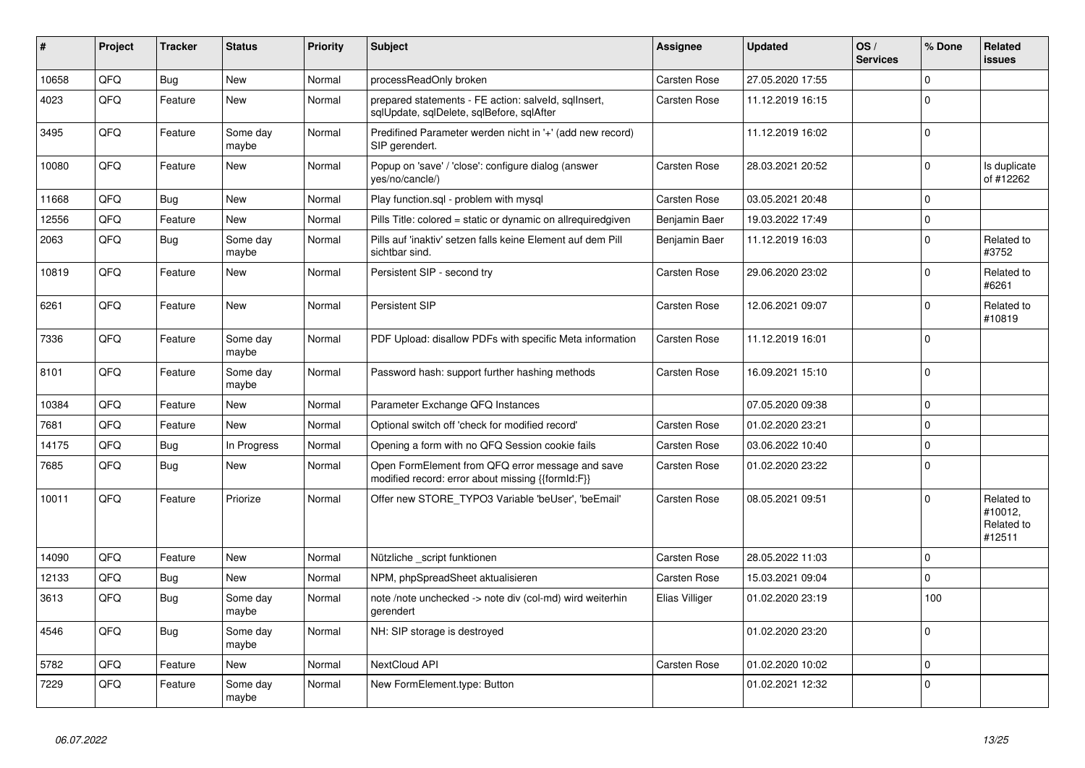| #     | <b>Project</b> | <b>Tracker</b> | <b>Status</b>     | <b>Priority</b> | <b>Subject</b>                                                                                        | Assignee            | <b>Updated</b>   | OS/<br><b>Services</b> | % Done      | Related<br><b>issues</b>                      |
|-------|----------------|----------------|-------------------|-----------------|-------------------------------------------------------------------------------------------------------|---------------------|------------------|------------------------|-------------|-----------------------------------------------|
| 10658 | QFQ            | Bug            | <b>New</b>        | Normal          | processReadOnly broken                                                                                | Carsten Rose        | 27.05.2020 17:55 |                        | $\Omega$    |                                               |
| 4023  | QFQ            | Feature        | <b>New</b>        | Normal          | prepared statements - FE action: salveld, sqllnsert,<br>sglUpdate, sglDelete, sglBefore, sglAfter     | Carsten Rose        | 11.12.2019 16:15 |                        | $\Omega$    |                                               |
| 3495  | QFQ            | Feature        | Some day<br>maybe | Normal          | Predifined Parameter werden nicht in '+' (add new record)<br>SIP gerendert.                           |                     | 11.12.2019 16:02 |                        | $\Omega$    |                                               |
| 10080 | QFQ            | Feature        | <b>New</b>        | Normal          | Popup on 'save' / 'close': configure dialog (answer<br>yes/no/cancle/)                                | Carsten Rose        | 28.03.2021 20:52 |                        | $\mathbf 0$ | Is duplicate<br>of #12262                     |
| 11668 | QFQ            | <b>Bug</b>     | <b>New</b>        | Normal          | Play function.sql - problem with mysql                                                                | Carsten Rose        | 03.05.2021 20:48 |                        | $\Omega$    |                                               |
| 12556 | QFQ            | Feature        | <b>New</b>        | Normal          | Pills Title: colored = static or dynamic on allrequiredgiven                                          | Benjamin Baer       | 19.03.2022 17:49 |                        | $\mathbf 0$ |                                               |
| 2063  | QFQ            | <b>Bug</b>     | Some day<br>maybe | Normal          | Pills auf 'inaktiv' setzen falls keine Element auf dem Pill<br>sichtbar sind.                         | Benjamin Baer       | 11.12.2019 16:03 |                        | $\mathbf 0$ | Related to<br>#3752                           |
| 10819 | QFQ            | Feature        | <b>New</b>        | Normal          | Persistent SIP - second try                                                                           | Carsten Rose        | 29.06.2020 23:02 |                        | $\Omega$    | Related to<br>#6261                           |
| 6261  | QFQ            | Feature        | <b>New</b>        | Normal          | Persistent SIP                                                                                        | Carsten Rose        | 12.06.2021 09:07 |                        | $\Omega$    | Related to<br>#10819                          |
| 7336  | QFQ            | Feature        | Some day<br>maybe | Normal          | PDF Upload: disallow PDFs with specific Meta information                                              | Carsten Rose        | 11.12.2019 16:01 |                        | $\mathbf 0$ |                                               |
| 8101  | QFQ            | Feature        | Some day<br>maybe | Normal          | Password hash: support further hashing methods                                                        | Carsten Rose        | 16.09.2021 15:10 |                        | $\mathbf 0$ |                                               |
| 10384 | QFQ            | Feature        | <b>New</b>        | Normal          | Parameter Exchange QFQ Instances                                                                      |                     | 07.05.2020 09:38 |                        | $\mathbf 0$ |                                               |
| 7681  | QFQ            | Feature        | <b>New</b>        | Normal          | Optional switch off 'check for modified record'                                                       | Carsten Rose        | 01.02.2020 23:21 |                        | $\mathbf 0$ |                                               |
| 14175 | QFQ            | Bug            | In Progress       | Normal          | Opening a form with no QFQ Session cookie fails                                                       | Carsten Rose        | 03.06.2022 10:40 |                        | $\Omega$    |                                               |
| 7685  | QFQ            | <b>Bug</b>     | <b>New</b>        | Normal          | Open FormElement from QFQ error message and save<br>modified record: error about missing {{formId:F}} | Carsten Rose        | 01.02.2020 23:22 |                        | $\Omega$    |                                               |
| 10011 | QFQ            | Feature        | Priorize          | Normal          | Offer new STORE_TYPO3 Variable 'beUser', 'beEmail'                                                    | Carsten Rose        | 08.05.2021 09:51 |                        | $\Omega$    | Related to<br>#10012,<br>Related to<br>#12511 |
| 14090 | QFQ            | Feature        | <b>New</b>        | Normal          | Nützliche _script funktionen                                                                          | Carsten Rose        | 28.05.2022 11:03 |                        | $\mathbf 0$ |                                               |
| 12133 | QFQ            | <b>Bug</b>     | <b>New</b>        | Normal          | NPM, phpSpreadSheet aktualisieren                                                                     | Carsten Rose        | 15.03.2021 09:04 |                        | $\mathbf 0$ |                                               |
| 3613  | QFQ            | <b>Bug</b>     | Some day<br>maybe | Normal          | note /note unchecked -> note div (col-md) wird weiterhin<br>gerendert                                 | Elias Villiger      | 01.02.2020 23:19 |                        | 100         |                                               |
| 4546  | QFQ            | Bug            | Some day<br>maybe | Normal          | NH: SIP storage is destroyed                                                                          |                     | 01.02.2020 23:20 |                        | $\Omega$    |                                               |
| 5782  | QFQ            | Feature        | <b>New</b>        | Normal          | NextCloud API                                                                                         | <b>Carsten Rose</b> | 01.02.2020 10:02 |                        | $\mathbf 0$ |                                               |
| 7229  | QFQ            | Feature        | Some day<br>maybe | Normal          | New FormElement.type: Button                                                                          |                     | 01.02.2021 12:32 |                        | $\Omega$    |                                               |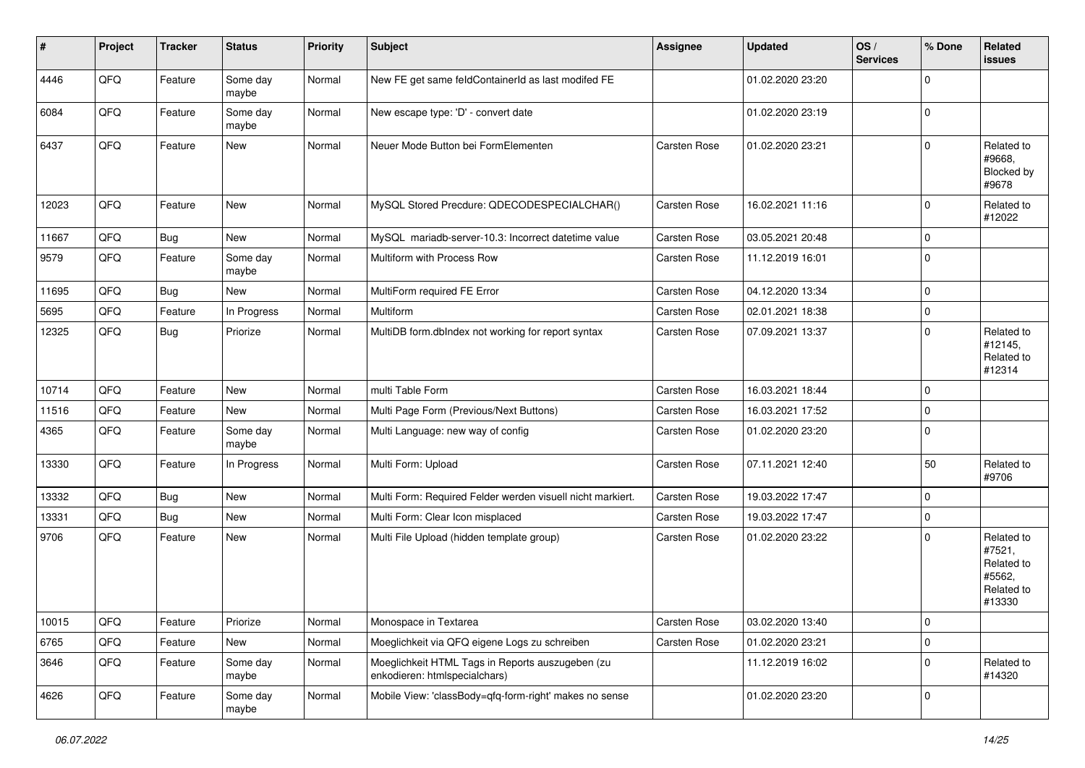| $\vert$ # | Project | <b>Tracker</b> | <b>Status</b>     | <b>Priority</b> | <b>Subject</b>                                                                    | Assignee            | <b>Updated</b>   | OS/<br><b>Services</b> | % Done         | Related<br><b>issues</b>                                             |
|-----------|---------|----------------|-------------------|-----------------|-----------------------------------------------------------------------------------|---------------------|------------------|------------------------|----------------|----------------------------------------------------------------------|
| 4446      | QFQ     | Feature        | Some day<br>maybe | Normal          | New FE get same feldContainerId as last modifed FE                                |                     | 01.02.2020 23:20 |                        | $\mathbf 0$    |                                                                      |
| 6084      | QFQ     | Feature        | Some day<br>maybe | Normal          | New escape type: 'D' - convert date                                               |                     | 01.02.2020 23:19 |                        | $\overline{0}$ |                                                                      |
| 6437      | QFQ     | Feature        | New               | Normal          | Neuer Mode Button bei FormElementen                                               | Carsten Rose        | 01.02.2020 23:21 |                        | $\Omega$       | Related to<br>#9668,<br>Blocked by<br>#9678                          |
| 12023     | QFQ     | Feature        | <b>New</b>        | Normal          | MySQL Stored Precdure: QDECODESPECIALCHAR()                                       | <b>Carsten Rose</b> | 16.02.2021 11:16 |                        | $\mathbf 0$    | Related to<br>#12022                                                 |
| 11667     | QFQ     | <b>Bug</b>     | New               | Normal          | MySQL mariadb-server-10.3: Incorrect datetime value                               | Carsten Rose        | 03.05.2021 20:48 |                        | $\mathbf 0$    |                                                                      |
| 9579      | QFQ     | Feature        | Some day<br>maybe | Normal          | Multiform with Process Row                                                        | Carsten Rose        | 11.12.2019 16:01 |                        | $\mathbf 0$    |                                                                      |
| 11695     | QFQ     | <b>Bug</b>     | <b>New</b>        | Normal          | MultiForm required FE Error                                                       | Carsten Rose        | 04.12.2020 13:34 |                        | $\mathbf 0$    |                                                                      |
| 5695      | QFQ     | Feature        | In Progress       | Normal          | Multiform                                                                         | Carsten Rose        | 02.01.2021 18:38 |                        | $\mathbf 0$    |                                                                      |
| 12325     | QFQ     | <b>Bug</b>     | Priorize          | Normal          | MultiDB form.dbIndex not working for report syntax                                | Carsten Rose        | 07.09.2021 13:37 |                        | $\Omega$       | Related to<br>#12145,<br>Related to<br>#12314                        |
| 10714     | QFQ     | Feature        | <b>New</b>        | Normal          | multi Table Form                                                                  | <b>Carsten Rose</b> | 16.03.2021 18:44 |                        | 0              |                                                                      |
| 11516     | QFQ     | Feature        | New               | Normal          | Multi Page Form (Previous/Next Buttons)                                           | Carsten Rose        | 16.03.2021 17:52 |                        | 0              |                                                                      |
| 4365      | QFQ     | Feature        | Some day<br>maybe | Normal          | Multi Language: new way of config                                                 | Carsten Rose        | 01.02.2020 23:20 |                        | $\mathbf 0$    |                                                                      |
| 13330     | QFQ     | Feature        | In Progress       | Normal          | Multi Form: Upload                                                                | Carsten Rose        | 07.11.2021 12:40 |                        | 50             | Related to<br>#9706                                                  |
| 13332     | QFQ     | <b>Bug</b>     | New               | Normal          | Multi Form: Required Felder werden visuell nicht markiert.                        | Carsten Rose        | 19.03.2022 17:47 |                        | $\mathbf 0$    |                                                                      |
| 13331     | QFQ     | Bug            | New               | Normal          | Multi Form: Clear Icon misplaced                                                  | Carsten Rose        | 19.03.2022 17:47 |                        | $\mathbf 0$    |                                                                      |
| 9706      | QFQ     | Feature        | New               | Normal          | Multi File Upload (hidden template group)                                         | Carsten Rose        | 01.02.2020 23:22 |                        | $\Omega$       | Related to<br>#7521,<br>Related to<br>#5562,<br>Related to<br>#13330 |
| 10015     | QFQ     | Feature        | Priorize          | Normal          | Monospace in Textarea                                                             | Carsten Rose        | 03.02.2020 13:40 |                        | $\pmb{0}$      |                                                                      |
| 6765      | QFQ     | Feature        | New               | Normal          | Moeglichkeit via QFQ eigene Logs zu schreiben                                     | Carsten Rose        | 01.02.2020 23:21 |                        | $\mathbf 0$    |                                                                      |
| 3646      | QFQ     | Feature        | Some day<br>maybe | Normal          | Moeglichkeit HTML Tags in Reports auszugeben (zu<br>enkodieren: htmlspecialchars) |                     | 11.12.2019 16:02 |                        | $\mathbf 0$    | Related to<br>#14320                                                 |
| 4626      | QFQ     | Feature        | Some day<br>maybe | Normal          | Mobile View: 'classBody=qfq-form-right' makes no sense                            |                     | 01.02.2020 23:20 |                        | 0              |                                                                      |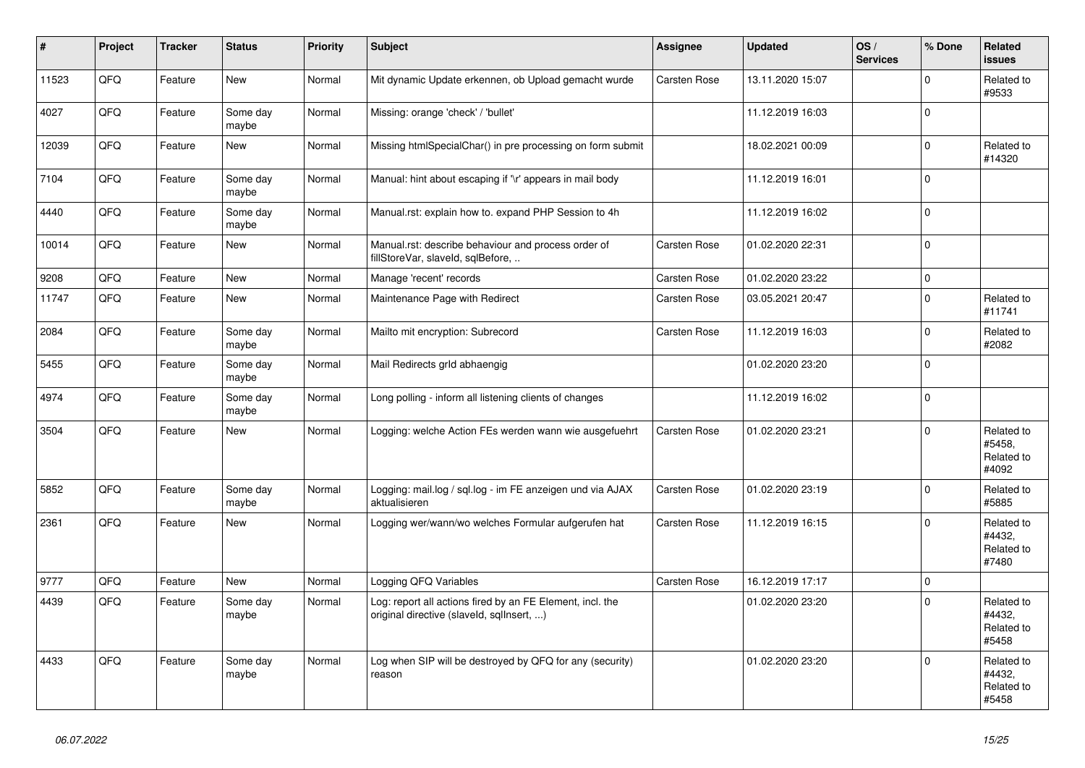| ∦     | Project | <b>Tracker</b> | <b>Status</b>     | Priority | <b>Subject</b>                                                                                         | <b>Assignee</b>     | <b>Updated</b>   | OS/<br><b>Services</b> | % Done              | Related<br><b>issues</b>                    |
|-------|---------|----------------|-------------------|----------|--------------------------------------------------------------------------------------------------------|---------------------|------------------|------------------------|---------------------|---------------------------------------------|
| 11523 | QFQ     | Feature        | <b>New</b>        | Normal   | Mit dynamic Update erkennen, ob Upload gemacht wurde                                                   | Carsten Rose        | 13.11.2020 15:07 |                        | $\Omega$            | Related to<br>#9533                         |
| 4027  | QFQ     | Feature        | Some day<br>maybe | Normal   | Missing: orange 'check' / 'bullet'                                                                     |                     | 11.12.2019 16:03 |                        | $\mathbf 0$         |                                             |
| 12039 | QFQ     | Feature        | <b>New</b>        | Normal   | Missing htmlSpecialChar() in pre processing on form submit                                             |                     | 18.02.2021 00:09 |                        | $\Omega$            | Related to<br>#14320                        |
| 7104  | QFQ     | Feature        | Some day<br>maybe | Normal   | Manual: hint about escaping if '\r' appears in mail body                                               |                     | 11.12.2019 16:01 |                        | $\mathbf 0$         |                                             |
| 4440  | QFQ     | Feature        | Some day<br>maybe | Normal   | Manual.rst: explain how to. expand PHP Session to 4h                                                   |                     | 11.12.2019 16:02 |                        | $\mathsf{O}\xspace$ |                                             |
| 10014 | QFQ     | Feature        | New               | Normal   | Manual.rst: describe behaviour and process order of<br>fillStoreVar, slaveId, sqlBefore,               | Carsten Rose        | 01.02.2020 22:31 |                        | $\mathbf 0$         |                                             |
| 9208  | QFQ     | Feature        | <b>New</b>        | Normal   | Manage 'recent' records                                                                                | Carsten Rose        | 01.02.2020 23:22 |                        | $\mathsf{O}\xspace$ |                                             |
| 11747 | QFQ     | Feature        | New               | Normal   | Maintenance Page with Redirect                                                                         | Carsten Rose        | 03.05.2021 20:47 |                        | $\Omega$            | Related to<br>#11741                        |
| 2084  | QFQ     | Feature        | Some day<br>maybe | Normal   | Mailto mit encryption: Subrecord                                                                       | Carsten Rose        | 11.12.2019 16:03 |                        | $\mathbf 0$         | Related to<br>#2082                         |
| 5455  | QFQ     | Feature        | Some day<br>maybe | Normal   | Mail Redirects grld abhaengig                                                                          |                     | 01.02.2020 23:20 |                        | $\pmb{0}$           |                                             |
| 4974  | QFQ     | Feature        | Some day<br>maybe | Normal   | Long polling - inform all listening clients of changes                                                 |                     | 11.12.2019 16:02 |                        | $\mathbf 0$         |                                             |
| 3504  | QFQ     | Feature        | New               | Normal   | Logging: welche Action FEs werden wann wie ausgefuehrt                                                 | Carsten Rose        | 01.02.2020 23:21 |                        | $\Omega$            | Related to<br>#5458.<br>Related to<br>#4092 |
| 5852  | QFQ     | Feature        | Some day<br>maybe | Normal   | Logging: mail.log / sql.log - im FE anzeigen und via AJAX<br>aktualisieren                             | Carsten Rose        | 01.02.2020 23:19 |                        | $\pmb{0}$           | Related to<br>#5885                         |
| 2361  | QFQ     | Feature        | <b>New</b>        | Normal   | Logging wer/wann/wo welches Formular aufgerufen hat                                                    | Carsten Rose        | 11.12.2019 16:15 |                        | $\Omega$            | Related to<br>#4432,<br>Related to<br>#7480 |
| 9777  | QFQ     | Feature        | <b>New</b>        | Normal   | Logging QFQ Variables                                                                                  | <b>Carsten Rose</b> | 16.12.2019 17:17 |                        | $\mathsf 0$         |                                             |
| 4439  | QFQ     | Feature        | Some day<br>maybe | Normal   | Log: report all actions fired by an FE Element, incl. the<br>original directive (slaveld, sqlInsert, ) |                     | 01.02.2020 23:20 |                        | $\Omega$            | Related to<br>#4432,<br>Related to<br>#5458 |
| 4433  | QFQ     | Feature        | Some day<br>maybe | Normal   | Log when SIP will be destroyed by QFQ for any (security)<br>reason                                     |                     | 01.02.2020 23:20 |                        | $\mathbf 0$         | Related to<br>#4432,<br>Related to<br>#5458 |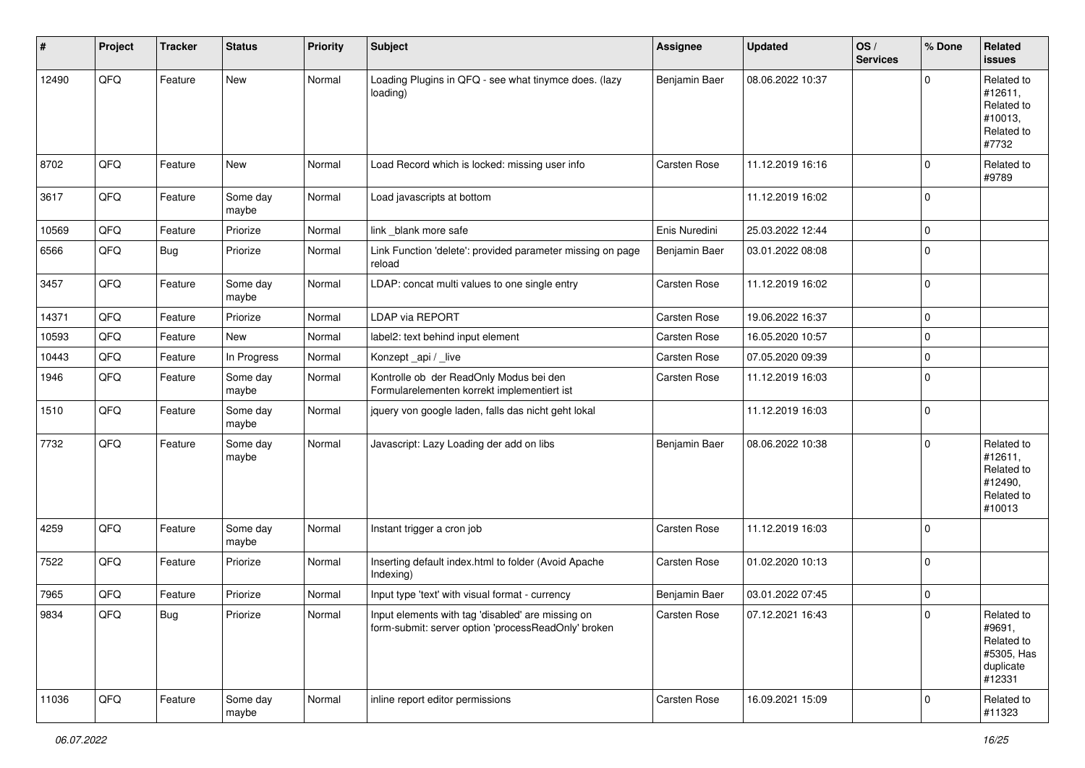| #     | Project | <b>Tracker</b> | <b>Status</b>     | <b>Priority</b> | <b>Subject</b>                                                                                           | <b>Assignee</b>     | <b>Updated</b>   | OS/<br><b>Services</b> | % Done         | Related<br><b>issues</b>                                                |
|-------|---------|----------------|-------------------|-----------------|----------------------------------------------------------------------------------------------------------|---------------------|------------------|------------------------|----------------|-------------------------------------------------------------------------|
| 12490 | QFQ     | Feature        | <b>New</b>        | Normal          | Loading Plugins in QFQ - see what tinymce does. (lazy<br>loading)                                        | Benjamin Baer       | 08.06.2022 10:37 |                        | $\Omega$       | Related to<br>#12611,<br>Related to<br>#10013,<br>Related to<br>#7732   |
| 8702  | QFQ     | Feature        | <b>New</b>        | Normal          | Load Record which is locked: missing user info                                                           | Carsten Rose        | 11.12.2019 16:16 |                        | $\Omega$       | Related to<br>#9789                                                     |
| 3617  | QFQ     | Feature        | Some day<br>maybe | Normal          | Load javascripts at bottom                                                                               |                     | 11.12.2019 16:02 |                        | $\mathbf 0$    |                                                                         |
| 10569 | QFQ     | Feature        | Priorize          | Normal          | link blank more safe                                                                                     | Enis Nuredini       | 25.03.2022 12:44 |                        | $\Omega$       |                                                                         |
| 6566  | QFQ     | Bug            | Priorize          | Normal          | Link Function 'delete': provided parameter missing on page<br>reload                                     | Benjamin Baer       | 03.01.2022 08:08 |                        | $\mathbf 0$    |                                                                         |
| 3457  | QFQ     | Feature        | Some day<br>maybe | Normal          | LDAP: concat multi values to one single entry                                                            | Carsten Rose        | 11.12.2019 16:02 |                        | $\Omega$       |                                                                         |
| 14371 | QFQ     | Feature        | Priorize          | Normal          | LDAP via REPORT                                                                                          | Carsten Rose        | 19.06.2022 16:37 |                        | 0              |                                                                         |
| 10593 | QFQ     | Feature        | New               | Normal          | label2: text behind input element                                                                        | Carsten Rose        | 16.05.2020 10:57 |                        | $\mathbf 0$    |                                                                         |
| 10443 | QFQ     | Feature        | In Progress       | Normal          | Konzept_api / _live                                                                                      | Carsten Rose        | 07.05.2020 09:39 |                        | $\mathbf 0$    |                                                                         |
| 1946  | QFQ     | Feature        | Some day<br>maybe | Normal          | Kontrolle ob der ReadOnly Modus bei den<br>Formularelementen korrekt implementiert ist                   | Carsten Rose        | 11.12.2019 16:03 |                        | $\Omega$       |                                                                         |
| 1510  | QFQ     | Feature        | Some day<br>maybe | Normal          | jquery von google laden, falls das nicht geht lokal                                                      |                     | 11.12.2019 16:03 |                        | $\mathbf 0$    |                                                                         |
| 7732  | QFQ     | Feature        | Some day<br>maybe | Normal          | Javascript: Lazy Loading der add on libs                                                                 | Benjamin Baer       | 08.06.2022 10:38 |                        | $\mathbf 0$    | Related to<br>#12611,<br>Related to<br>#12490,<br>Related to<br>#10013  |
| 4259  | QFQ     | Feature        | Some day<br>maybe | Normal          | Instant trigger a cron job                                                                               | Carsten Rose        | 11.12.2019 16:03 |                        | $\mathbf 0$    |                                                                         |
| 7522  | QFQ     | Feature        | Priorize          | Normal          | Inserting default index.html to folder (Avoid Apache<br>Indexing)                                        | Carsten Rose        | 01.02.2020 10:13 |                        | $\mathbf 0$    |                                                                         |
| 7965  | QFQ     | Feature        | Priorize          | Normal          | Input type 'text' with visual format - currency                                                          | Benjamin Baer       | 03.01.2022 07:45 |                        | 0              |                                                                         |
| 9834  | QFO     | <b>Bug</b>     | Priorize          | Normal          | Input elements with tag 'disabled' are missing on<br>form-submit: server option 'processReadOnly' broken | <b>Carsten Rose</b> | 07.12.2021 16:43 |                        |                | Related to<br>#9691,<br>Related to<br>#5305, Has<br>duplicate<br>#12331 |
| 11036 | QFQ     | Feature        | Some day<br>maybe | Normal          | inline report editor permissions                                                                         | Carsten Rose        | 16.09.2021 15:09 |                        | $\overline{0}$ | Related to<br>#11323                                                    |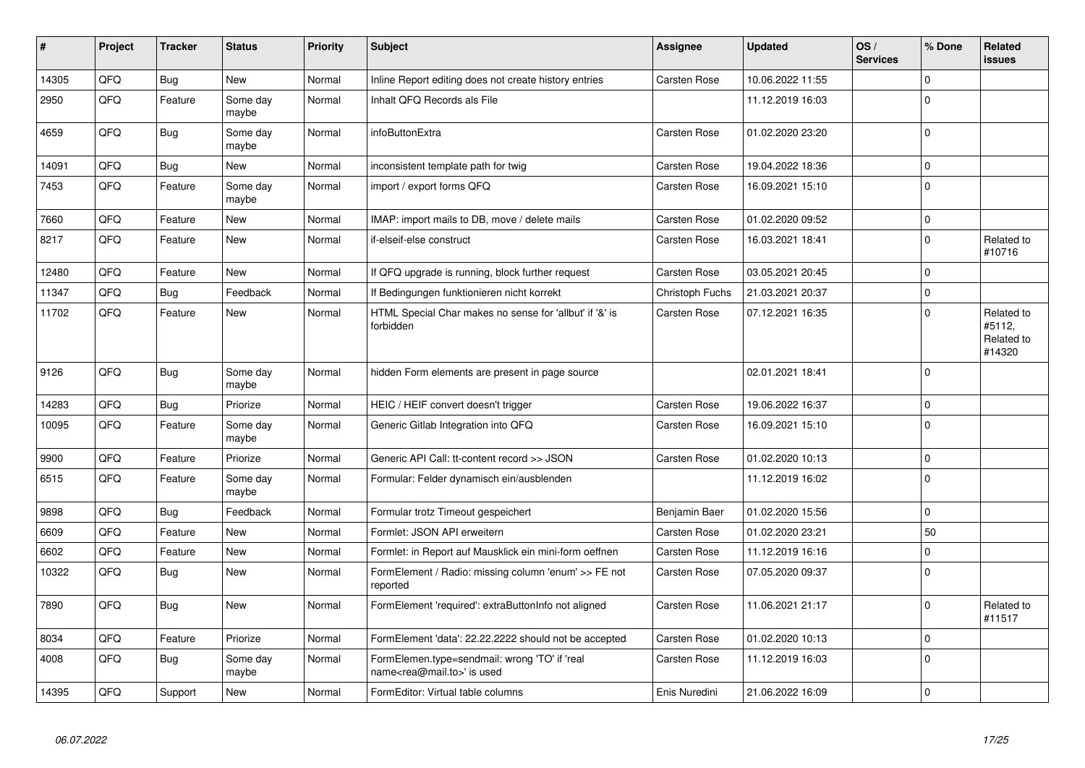| #     | Project | <b>Tracker</b> | <b>Status</b>     | <b>Priority</b> | <b>Subject</b>                                                                             | <b>Assignee</b> | <b>Updated</b>   | OS/<br><b>Services</b> | % Done      | <b>Related</b><br><b>issues</b>              |
|-------|---------|----------------|-------------------|-----------------|--------------------------------------------------------------------------------------------|-----------------|------------------|------------------------|-------------|----------------------------------------------|
| 14305 | QFQ     | Bug            | <b>New</b>        | Normal          | Inline Report editing does not create history entries                                      | Carsten Rose    | 10.06.2022 11:55 |                        | $\Omega$    |                                              |
| 2950  | QFQ     | Feature        | Some day<br>maybe | Normal          | Inhalt QFQ Records als File                                                                |                 | 11.12.2019 16:03 |                        | $\Omega$    |                                              |
| 4659  | QFQ     | Bug            | Some day<br>maybe | Normal          | infoButtonExtra                                                                            | Carsten Rose    | 01.02.2020 23:20 |                        | $\Omega$    |                                              |
| 14091 | QFQ     | Bug            | <b>New</b>        | Normal          | inconsistent template path for twig                                                        | Carsten Rose    | 19.04.2022 18:36 |                        | $\mathbf 0$ |                                              |
| 7453  | QFQ     | Feature        | Some day<br>maybe | Normal          | import / export forms QFQ                                                                  | Carsten Rose    | 16.09.2021 15:10 |                        | $\Omega$    |                                              |
| 7660  | QFQ     | Feature        | <b>New</b>        | Normal          | IMAP: import mails to DB, move / delete mails                                              | Carsten Rose    | 01.02.2020 09:52 |                        | $\Omega$    |                                              |
| 8217  | QFQ     | Feature        | <b>New</b>        | Normal          | if-elseif-else construct                                                                   | Carsten Rose    | 16.03.2021 18:41 |                        | $\Omega$    | Related to<br>#10716                         |
| 12480 | QFQ     | Feature        | <b>New</b>        | Normal          | If QFQ upgrade is running, block further request                                           | Carsten Rose    | 03.05.2021 20:45 |                        | $\mathbf 0$ |                                              |
| 11347 | QFQ     | Bug            | Feedback          | Normal          | If Bedingungen funktionieren nicht korrekt                                                 | Christoph Fuchs | 21.03.2021 20:37 |                        | $\Omega$    |                                              |
| 11702 | QFQ     | Feature        | <b>New</b>        | Normal          | HTML Special Char makes no sense for 'allbut' if '&' is<br>forbidden                       | Carsten Rose    | 07.12.2021 16:35 |                        | $\Omega$    | Related to<br>#5112,<br>Related to<br>#14320 |
| 9126  | QFQ     | <b>Bug</b>     | Some day<br>maybe | Normal          | hidden Form elements are present in page source                                            |                 | 02.01.2021 18:41 |                        | $\Omega$    |                                              |
| 14283 | QFQ     | Bug            | Priorize          | Normal          | HEIC / HEIF convert doesn't trigger                                                        | Carsten Rose    | 19.06.2022 16:37 |                        | $\Omega$    |                                              |
| 10095 | QFQ     | Feature        | Some day<br>maybe | Normal          | Generic Gitlab Integration into QFQ                                                        | Carsten Rose    | 16.09.2021 15:10 |                        | $\mathbf 0$ |                                              |
| 9900  | QFQ     | Feature        | Priorize          | Normal          | Generic API Call: tt-content record >> JSON                                                | Carsten Rose    | 01.02.2020 10:13 |                        | $\mathbf 0$ |                                              |
| 6515  | QFQ     | Feature        | Some day<br>maybe | Normal          | Formular: Felder dynamisch ein/ausblenden                                                  |                 | 11.12.2019 16:02 |                        | $\Omega$    |                                              |
| 9898  | QFQ     | <b>Bug</b>     | Feedback          | Normal          | Formular trotz Timeout gespeichert                                                         | Benjamin Baer   | 01.02.2020 15:56 |                        | $\Omega$    |                                              |
| 6609  | QFQ     | Feature        | <b>New</b>        | Normal          | Formlet: JSON API erweitern                                                                | Carsten Rose    | 01.02.2020 23:21 |                        | 50          |                                              |
| 6602  | QFQ     | Feature        | <b>New</b>        | Normal          | Formlet: in Report auf Mausklick ein mini-form oeffnen                                     | Carsten Rose    | 11.12.2019 16:16 |                        | $\Omega$    |                                              |
| 10322 | QFQ     | <b>Bug</b>     | <b>New</b>        | Normal          | FormElement / Radio: missing column 'enum' >> FE not<br>reported                           | Carsten Rose    | 07.05.2020 09:37 |                        | $\Omega$    |                                              |
| 7890  | QFQ     | <b>Bug</b>     | New               | Normal          | FormElement 'required': extraButtonInfo not aligned                                        | Carsten Rose    | 11.06.2021 21:17 |                        | $\Omega$    | Related to<br>#11517                         |
| 8034  | QFQ     | Feature        | Priorize          | Normal          | FormElement 'data': 22.22.2222 should not be accepted                                      | Carsten Rose    | 01.02.2020 10:13 |                        | $\Omega$    |                                              |
| 4008  | QFQ     | Bug            | Some day<br>maybe | Normal          | FormElemen.type=sendmail: wrong 'TO' if 'real<br>name <rea@mail.to>' is used</rea@mail.to> | Carsten Rose    | 11.12.2019 16:03 |                        | $\Omega$    |                                              |
| 14395 | QFQ     | Support        | <b>New</b>        | Normal          | FormEditor: Virtual table columns                                                          | Enis Nuredini   | 21.06.2022 16:09 |                        | $\Omega$    |                                              |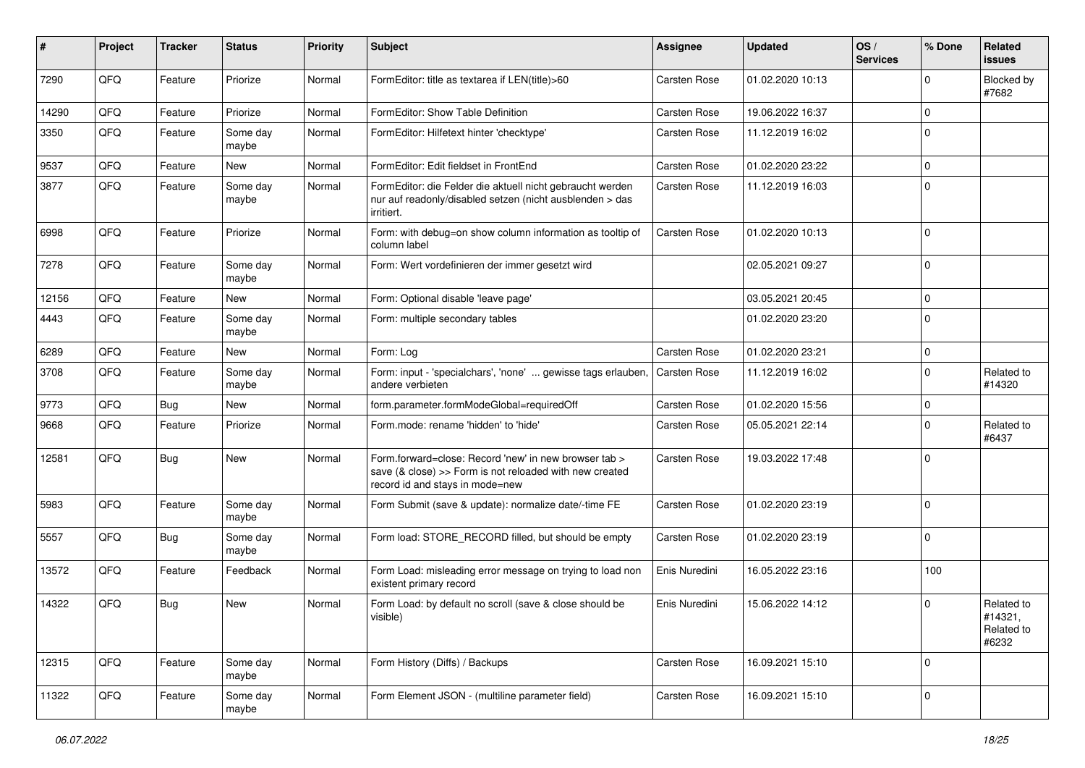| #     | Project | <b>Tracker</b> | <b>Status</b>     | <b>Priority</b> | Subject                                                                                                                                             | <b>Assignee</b> | <b>Updated</b>   | OS/<br><b>Services</b> | % Done       | Related<br>issues                            |
|-------|---------|----------------|-------------------|-----------------|-----------------------------------------------------------------------------------------------------------------------------------------------------|-----------------|------------------|------------------------|--------------|----------------------------------------------|
| 7290  | QFQ     | Feature        | Priorize          | Normal          | FormEditor: title as textarea if LEN(title)>60                                                                                                      | Carsten Rose    | 01.02.2020 10:13 |                        | $\Omega$     | Blocked by<br>#7682                          |
| 14290 | QFQ     | Feature        | Priorize          | Normal          | FormEditor: Show Table Definition                                                                                                                   | Carsten Rose    | 19.06.2022 16:37 |                        | $\mathbf 0$  |                                              |
| 3350  | QFQ     | Feature        | Some day<br>maybe | Normal          | FormEditor: Hilfetext hinter 'checktype'                                                                                                            | Carsten Rose    | 11.12.2019 16:02 |                        | $\Omega$     |                                              |
| 9537  | QFQ     | Feature        | <b>New</b>        | Normal          | FormEditor: Edit fieldset in FrontEnd                                                                                                               | Carsten Rose    | 01.02.2020 23:22 |                        | $\mathbf 0$  |                                              |
| 3877  | QFQ     | Feature        | Some day<br>maybe | Normal          | FormEditor: die Felder die aktuell nicht gebraucht werden<br>nur auf readonly/disabled setzen (nicht ausblenden > das<br>irritiert.                 | Carsten Rose    | 11.12.2019 16:03 |                        | $\mathbf 0$  |                                              |
| 6998  | QFQ     | Feature        | Priorize          | Normal          | Form: with debug=on show column information as tooltip of<br>column label                                                                           | Carsten Rose    | 01.02.2020 10:13 |                        | $\mathbf{0}$ |                                              |
| 7278  | QFQ     | Feature        | Some day<br>maybe | Normal          | Form: Wert vordefinieren der immer gesetzt wird                                                                                                     |                 | 02.05.2021 09:27 |                        | $\mathbf 0$  |                                              |
| 12156 | QFQ     | Feature        | New               | Normal          | Form: Optional disable 'leave page'                                                                                                                 |                 | 03.05.2021 20:45 |                        | $\mathbf 0$  |                                              |
| 4443  | QFQ     | Feature        | Some day<br>maybe | Normal          | Form: multiple secondary tables                                                                                                                     |                 | 01.02.2020 23:20 |                        | $\Omega$     |                                              |
| 6289  | QFQ     | Feature        | <b>New</b>        | Normal          | Form: Log                                                                                                                                           | Carsten Rose    | 01.02.2020 23:21 |                        | $\mathbf 0$  |                                              |
| 3708  | QFQ     | Feature        | Some day<br>maybe | Normal          | Form: input - 'specialchars', 'none'  gewisse tags erlauben,<br>andere verbieten                                                                    | Carsten Rose    | 11.12.2019 16:02 |                        | $\mathbf 0$  | Related to<br>#14320                         |
| 9773  | QFQ     | Bug            | <b>New</b>        | Normal          | form.parameter.formModeGlobal=requiredOff                                                                                                           | Carsten Rose    | 01.02.2020 15:56 |                        | $\mathbf 0$  |                                              |
| 9668  | QFQ     | Feature        | Priorize          | Normal          | Form.mode: rename 'hidden' to 'hide'                                                                                                                | Carsten Rose    | 05.05.2021 22:14 |                        | $\mathbf{0}$ | Related to<br>#6437                          |
| 12581 | QFQ     | Bug            | New               | Normal          | Form.forward=close: Record 'new' in new browser tab ><br>save (& close) >> Form is not reloaded with new created<br>record id and stays in mode=new | Carsten Rose    | 19.03.2022 17:48 |                        | $\mathbf{0}$ |                                              |
| 5983  | QFQ     | Feature        | Some day<br>maybe | Normal          | Form Submit (save & update): normalize date/-time FE                                                                                                | Carsten Rose    | 01.02.2020 23:19 |                        | $\Omega$     |                                              |
| 5557  | QFQ     | Bug            | Some day<br>maybe | Normal          | Form load: STORE_RECORD filled, but should be empty                                                                                                 | Carsten Rose    | 01.02.2020 23:19 |                        | $\mathbf{0}$ |                                              |
| 13572 | QFQ     | Feature        | Feedback          | Normal          | Form Load: misleading error message on trying to load non<br>existent primary record                                                                | Enis Nuredini   | 16.05.2022 23:16 |                        | 100          |                                              |
| 14322 | QFQ     | Bug            | <b>New</b>        | Normal          | Form Load: by default no scroll (save & close should be<br>visible)                                                                                 | Enis Nuredini   | 15.06.2022 14:12 |                        | $\mathbf 0$  | Related to<br>#14321,<br>Related to<br>#6232 |
| 12315 | QFO     | Feature        | Some day<br>maybe | Normal          | Form History (Diffs) / Backups                                                                                                                      | Carsten Rose    | 16.09.2021 15:10 |                        | $\Omega$     |                                              |
| 11322 | QFQ     | Feature        | Some day<br>maybe | Normal          | Form Element JSON - (multiline parameter field)                                                                                                     | Carsten Rose    | 16.09.2021 15:10 |                        | $\mathbf 0$  |                                              |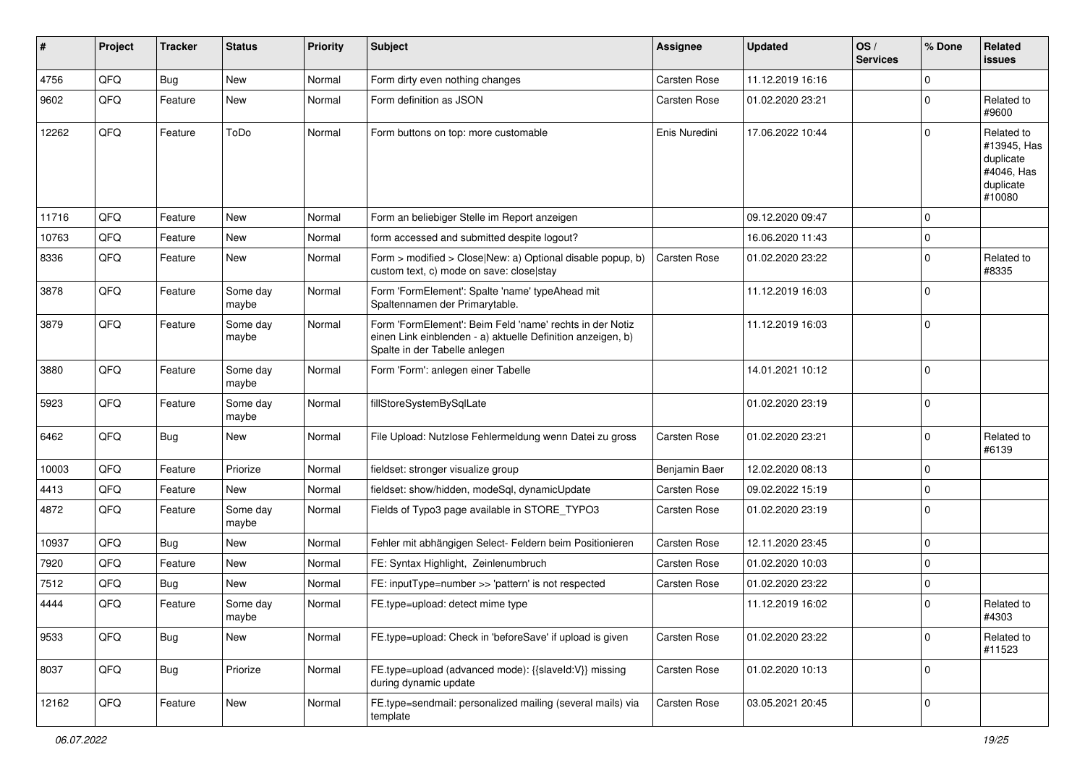| $\vert$ # | Project | <b>Tracker</b> | <b>Status</b>     | <b>Priority</b> | <b>Subject</b>                                                                                                                                           | <b>Assignee</b>     | <b>Updated</b>   | OS/<br><b>Services</b> | % Done         | Related<br><b>issues</b>                                                    |
|-----------|---------|----------------|-------------------|-----------------|----------------------------------------------------------------------------------------------------------------------------------------------------------|---------------------|------------------|------------------------|----------------|-----------------------------------------------------------------------------|
| 4756      | QFQ     | Bug            | <b>New</b>        | Normal          | Form dirty even nothing changes                                                                                                                          | <b>Carsten Rose</b> | 11.12.2019 16:16 |                        | $\Omega$       |                                                                             |
| 9602      | QFQ     | Feature        | <b>New</b>        | Normal          | Form definition as JSON                                                                                                                                  | Carsten Rose        | 01.02.2020 23:21 |                        | $\Omega$       | Related to<br>#9600                                                         |
| 12262     | QFQ     | Feature        | ToDo              | Normal          | Form buttons on top: more customable                                                                                                                     | Enis Nuredini       | 17.06.2022 10:44 |                        | $\Omega$       | Related to<br>#13945, Has<br>duplicate<br>#4046, Has<br>duplicate<br>#10080 |
| 11716     | QFQ     | Feature        | <b>New</b>        | Normal          | Form an beliebiger Stelle im Report anzeigen                                                                                                             |                     | 09.12.2020 09:47 |                        | $\mathbf 0$    |                                                                             |
| 10763     | QFQ     | Feature        | <b>New</b>        | Normal          | form accessed and submitted despite logout?                                                                                                              |                     | 16.06.2020 11:43 |                        | $\mathbf 0$    |                                                                             |
| 8336      | QFQ     | Feature        | <b>New</b>        | Normal          | Form > modified > Close New: a) Optional disable popup, b)<br>custom text, c) mode on save: close stay                                                   | <b>Carsten Rose</b> | 01.02.2020 23:22 |                        | $\Omega$       | Related to<br>#8335                                                         |
| 3878      | QFQ     | Feature        | Some day<br>maybe | Normal          | Form 'FormElement': Spalte 'name' typeAhead mit<br>Spaltennamen der Primarytable.                                                                        |                     | 11.12.2019 16:03 |                        | $\mathbf 0$    |                                                                             |
| 3879      | QFQ     | Feature        | Some day<br>maybe | Normal          | Form 'FormElement': Beim Feld 'name' rechts in der Notiz<br>einen Link einblenden - a) aktuelle Definition anzeigen, b)<br>Spalte in der Tabelle anlegen |                     | 11.12.2019 16:03 |                        | $\Omega$       |                                                                             |
| 3880      | QFQ     | Feature        | Some day<br>maybe | Normal          | Form 'Form': anlegen einer Tabelle                                                                                                                       |                     | 14.01.2021 10:12 |                        | $\Omega$       |                                                                             |
| 5923      | QFQ     | Feature        | Some day<br>maybe | Normal          | fillStoreSystemBySqlLate                                                                                                                                 |                     | 01.02.2020 23:19 |                        | $\mathbf 0$    |                                                                             |
| 6462      | QFQ     | Bug            | <b>New</b>        | Normal          | File Upload: Nutzlose Fehlermeldung wenn Datei zu gross                                                                                                  | Carsten Rose        | 01.02.2020 23:21 |                        | $\mathbf 0$    | Related to<br>#6139                                                         |
| 10003     | QFQ     | Feature        | Priorize          | Normal          | fieldset: stronger visualize group                                                                                                                       | Benjamin Baer       | 12.02.2020 08:13 |                        | $\Omega$       |                                                                             |
| 4413      | QFQ     | Feature        | <b>New</b>        | Normal          | fieldset: show/hidden, modeSql, dynamicUpdate                                                                                                            | Carsten Rose        | 09.02.2022 15:19 |                        | $\mathbf 0$    |                                                                             |
| 4872      | QFQ     | Feature        | Some day<br>maybe | Normal          | Fields of Typo3 page available in STORE_TYPO3                                                                                                            | Carsten Rose        | 01.02.2020 23:19 |                        | $\Omega$       |                                                                             |
| 10937     | QFQ     | Bug            | <b>New</b>        | Normal          | Fehler mit abhängigen Select- Feldern beim Positionieren                                                                                                 | Carsten Rose        | 12.11.2020 23:45 |                        | $\mathbf 0$    |                                                                             |
| 7920      | QFQ     | Feature        | New               | Normal          | FE: Syntax Highlight, Zeinlenumbruch                                                                                                                     | Carsten Rose        | 01.02.2020 10:03 |                        | $\Omega$       |                                                                             |
| 7512      | QFQ     | Bug            | <b>New</b>        | Normal          | FE: inputType=number >> 'pattern' is not respected                                                                                                       | Carsten Rose        | 01.02.2020 23:22 |                        | $\mathbf 0$    |                                                                             |
| 4444      | QFQ     | Feature        | Some day<br>maybe | Normal          | FE.type=upload: detect mime type                                                                                                                         |                     | 11.12.2019 16:02 |                        | $\mathbf 0$    | Related to<br>#4303                                                         |
| 9533      | QFO     | Bug            | New               | Normal          | FE.type=upload: Check in 'beforeSave' if upload is given                                                                                                 | Carsten Rose        | 01.02.2020 23:22 |                        | 0              | Related to<br>#11523                                                        |
| 8037      | QFQ     | <b>Bug</b>     | Priorize          | Normal          | FE.type=upload (advanced mode): {{slaveld:V}} missing<br>during dynamic update                                                                           | Carsten Rose        | 01.02.2020 10:13 |                        | $\overline{0}$ |                                                                             |
| 12162     | QFQ     | Feature        | New               | Normal          | FE.type=sendmail: personalized mailing (several mails) via<br>template                                                                                   | Carsten Rose        | 03.05.2021 20:45 |                        | 0              |                                                                             |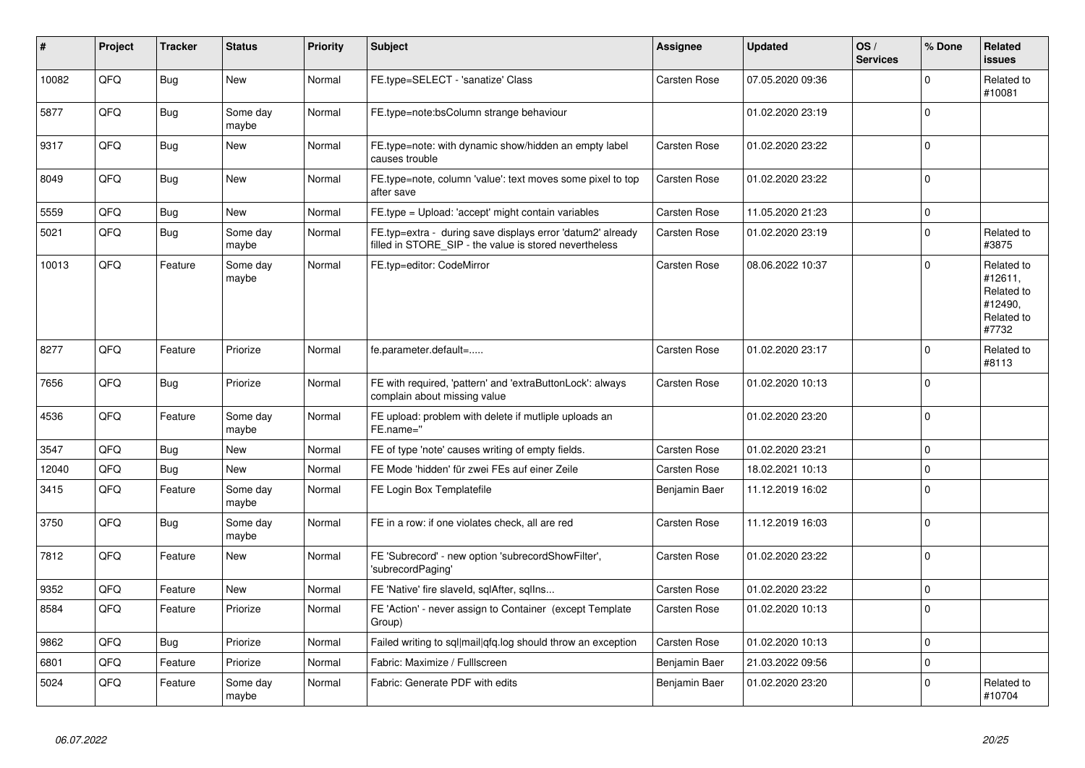| ∦     | Project | <b>Tracker</b> | <b>Status</b>     | <b>Priority</b> | <b>Subject</b>                                                                                                       | Assignee            | <b>Updated</b>   | OS/<br><b>Services</b> | % Done         | <b>Related</b><br><b>issues</b>                                       |
|-------|---------|----------------|-------------------|-----------------|----------------------------------------------------------------------------------------------------------------------|---------------------|------------------|------------------------|----------------|-----------------------------------------------------------------------|
| 10082 | QFQ     | <b>Bug</b>     | <b>New</b>        | Normal          | FE.type=SELECT - 'sanatize' Class                                                                                    | Carsten Rose        | 07.05.2020 09:36 |                        | $\Omega$       | Related to<br>#10081                                                  |
| 5877  | QFQ     | <b>Bug</b>     | Some day<br>maybe | Normal          | FE.type=note:bsColumn strange behaviour                                                                              |                     | 01.02.2020 23:19 |                        | $\Omega$       |                                                                       |
| 9317  | QFQ     | <b>Bug</b>     | <b>New</b>        | Normal          | FE.type=note: with dynamic show/hidden an empty label<br>causes trouble                                              | Carsten Rose        | 01.02.2020 23:22 |                        | $\Omega$       |                                                                       |
| 8049  | QFQ     | Bug            | <b>New</b>        | Normal          | FE.type=note, column 'value': text moves some pixel to top<br>after save                                             | Carsten Rose        | 01.02.2020 23:22 |                        | $\mathbf 0$    |                                                                       |
| 5559  | QFQ     | Bug            | <b>New</b>        | Normal          | FE.type = Upload: 'accept' might contain variables                                                                   | Carsten Rose        | 11.05.2020 21:23 |                        | $\mathbf 0$    |                                                                       |
| 5021  | QFQ     | <b>Bug</b>     | Some day<br>maybe | Normal          | FE.typ=extra - during save displays error 'datum2' already<br>filled in STORE_SIP - the value is stored nevertheless | Carsten Rose        | 01.02.2020 23:19 |                        | $\mathbf 0$    | Related to<br>#3875                                                   |
| 10013 | QFQ     | Feature        | Some day<br>maybe | Normal          | FE.typ=editor: CodeMirror                                                                                            | Carsten Rose        | 08.06.2022 10:37 |                        | $\Omega$       | Related to<br>#12611,<br>Related to<br>#12490,<br>Related to<br>#7732 |
| 8277  | QFQ     | Feature        | Priorize          | Normal          | fe.parameter.default=                                                                                                | Carsten Rose        | 01.02.2020 23:17 |                        | $\Omega$       | Related to<br>#8113                                                   |
| 7656  | QFQ     | Bug            | Priorize          | Normal          | FE with required, 'pattern' and 'extraButtonLock': always<br>complain about missing value                            | <b>Carsten Rose</b> | 01.02.2020 10:13 |                        | $\mathbf 0$    |                                                                       |
| 4536  | QFQ     | Feature        | Some day<br>maybe | Normal          | FE upload: problem with delete if mutliple uploads an<br>FE.name="                                                   |                     | 01.02.2020 23:20 |                        | $\Omega$       |                                                                       |
| 3547  | QFQ     | <b>Bug</b>     | <b>New</b>        | Normal          | FE of type 'note' causes writing of empty fields.                                                                    | Carsten Rose        | 01.02.2020 23:21 |                        | $\Omega$       |                                                                       |
| 12040 | QFQ     | <b>Bug</b>     | <b>New</b>        | Normal          | FE Mode 'hidden' für zwei FEs auf einer Zeile                                                                        | Carsten Rose        | 18.02.2021 10:13 |                        | $\mathbf 0$    |                                                                       |
| 3415  | QFQ     | Feature        | Some day<br>maybe | Normal          | FE Login Box Templatefile                                                                                            | Benjamin Baer       | 11.12.2019 16:02 |                        | $\overline{0}$ |                                                                       |
| 3750  | QFQ     | <b>Bug</b>     | Some day<br>maybe | Normal          | FE in a row: if one violates check, all are red                                                                      | Carsten Rose        | 11.12.2019 16:03 |                        | $\Omega$       |                                                                       |
| 7812  | QFQ     | Feature        | <b>New</b>        | Normal          | FE 'Subrecord' - new option 'subrecordShowFilter',<br>'subrecordPaging'                                              | Carsten Rose        | 01.02.2020 23:22 |                        | $\Omega$       |                                                                       |
| 9352  | QFQ     | Feature        | <b>New</b>        | Normal          | FE 'Native' fire slaveld, sqlAfter, sqllns                                                                           | Carsten Rose        | 01.02.2020 23:22 |                        | $\mathbf 0$    |                                                                       |
| 8584  | QFQ     | Feature        | Priorize          | Normal          | FE 'Action' - never assign to Container (except Template<br>Group)                                                   | Carsten Rose        | 01.02.2020 10:13 |                        | $\mathbf 0$    |                                                                       |
| 9862  | QFQ     | <b>Bug</b>     | Priorize          | Normal          | Failed writing to sql mail qfq.log should throw an exception                                                         | Carsten Rose        | 01.02.2020 10:13 |                        | $\mathbf 0$    |                                                                       |
| 6801  | QFQ     | Feature        | Priorize          | Normal          | Fabric: Maximize / Fulllscreen                                                                                       | Benjamin Baer       | 21.03.2022 09:56 |                        | $\mathbf 0$    |                                                                       |
| 5024  | QFQ     | Feature        | Some day<br>maybe | Normal          | Fabric: Generate PDF with edits                                                                                      | Benjamin Baer       | 01.02.2020 23:20 |                        | $\Omega$       | Related to<br>#10704                                                  |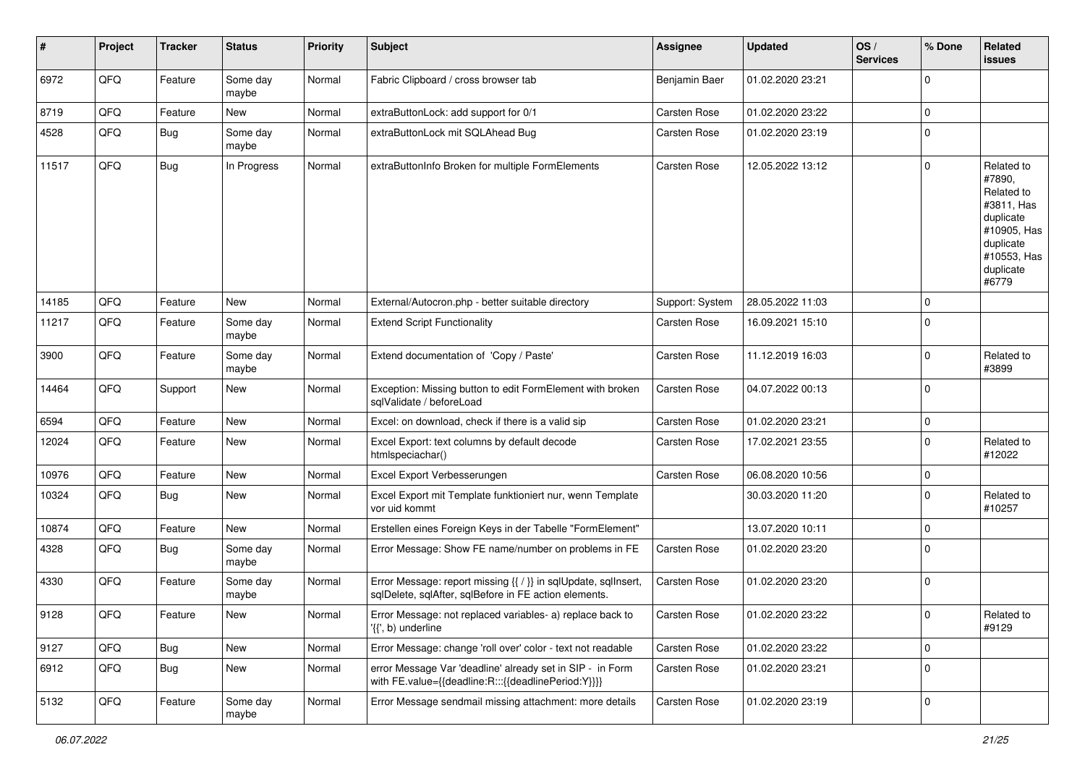| ∦     | Project        | <b>Tracker</b> | <b>Status</b>     | <b>Priority</b> | <b>Subject</b>                                                                                                          | <b>Assignee</b> | <b>Updated</b>   | OS/<br><b>Services</b> | % Done      | Related<br><b>issues</b>                                                                                                       |
|-------|----------------|----------------|-------------------|-----------------|-------------------------------------------------------------------------------------------------------------------------|-----------------|------------------|------------------------|-------------|--------------------------------------------------------------------------------------------------------------------------------|
| 6972  | QFQ            | Feature        | Some day<br>maybe | Normal          | Fabric Clipboard / cross browser tab                                                                                    | Benjamin Baer   | 01.02.2020 23:21 |                        | $\mathbf 0$ |                                                                                                                                |
| 8719  | QFQ            | Feature        | New               | Normal          | extraButtonLock: add support for 0/1                                                                                    | Carsten Rose    | 01.02.2020 23:22 |                        | $\mathbf 0$ |                                                                                                                                |
| 4528  | QFQ            | <b>Bug</b>     | Some day<br>maybe | Normal          | extraButtonLock mit SQLAhead Bug                                                                                        | Carsten Rose    | 01.02.2020 23:19 |                        | 0           |                                                                                                                                |
| 11517 | QFQ            | Bug            | In Progress       | Normal          | extraButtonInfo Broken for multiple FormElements                                                                        | Carsten Rose    | 12.05.2022 13:12 |                        | $\mathbf 0$ | Related to<br>#7890,<br>Related to<br>#3811, Has<br>duplicate<br>#10905, Has<br>duplicate<br>#10553, Has<br>duplicate<br>#6779 |
| 14185 | QFQ            | Feature        | New               | Normal          | External/Autocron.php - better suitable directory                                                                       | Support: System | 28.05.2022 11:03 |                        | $\mathbf 0$ |                                                                                                                                |
| 11217 | QFQ            | Feature        | Some day<br>maybe | Normal          | <b>Extend Script Functionality</b>                                                                                      | Carsten Rose    | 16.09.2021 15:10 |                        | $\mathbf 0$ |                                                                                                                                |
| 3900  | QFQ            | Feature        | Some day<br>maybe | Normal          | Extend documentation of 'Copy / Paste'                                                                                  | Carsten Rose    | 11.12.2019 16:03 |                        | $\mathbf 0$ | Related to<br>#3899                                                                                                            |
| 14464 | QFQ            | Support        | <b>New</b>        | Normal          | Exception: Missing button to edit FormElement with broken<br>sqlValidate / beforeLoad                                   | Carsten Rose    | 04.07.2022 00:13 |                        | $\mathbf 0$ |                                                                                                                                |
| 6594  | QFQ            | Feature        | New               | Normal          | Excel: on download, check if there is a valid sip                                                                       | Carsten Rose    | 01.02.2020 23:21 |                        | 0           |                                                                                                                                |
| 12024 | QFQ            | Feature        | New               | Normal          | Excel Export: text columns by default decode<br>htmlspeciachar()                                                        | Carsten Rose    | 17.02.2021 23:55 |                        | 0           | Related to<br>#12022                                                                                                           |
| 10976 | QFQ            | Feature        | <b>New</b>        | Normal          | Excel Export Verbesserungen                                                                                             | Carsten Rose    | 06.08.2020 10:56 |                        | 0           |                                                                                                                                |
| 10324 | QFQ            | Bug            | New               | Normal          | Excel Export mit Template funktioniert nur, wenn Template<br>vor uid kommt                                              |                 | 30.03.2020 11:20 |                        | 0           | Related to<br>#10257                                                                                                           |
| 10874 | QFQ            | Feature        | <b>New</b>        | Normal          | Erstellen eines Foreign Keys in der Tabelle "FormElement"                                                               |                 | 13.07.2020 10:11 |                        | $\mathbf 0$ |                                                                                                                                |
| 4328  | QFQ            | <b>Bug</b>     | Some day<br>maybe | Normal          | Error Message: Show FE name/number on problems in FE                                                                    | Carsten Rose    | 01.02.2020 23:20 |                        | 0           |                                                                                                                                |
| 4330  | QFQ            | Feature        | Some day<br>maybe | Normal          | Error Message: report missing {{ / }} in sqlUpdate, sqlInsert,<br>sqlDelete, sqlAfter, sqlBefore in FE action elements. | Carsten Rose    | 01.02.2020 23:20 |                        | $\mathbf 0$ |                                                                                                                                |
| 9128  | $\mathsf{QFQ}$ | Feature        | New               | Normal          | Error Message: not replaced variables- a) replace back to<br>$\langle \{ \}$ , b) underline                             | Carsten Rose    | 01.02.2020 23:22 |                        | $\mathsf 0$ | Related to<br>#9129                                                                                                            |
| 9127  | QFQ            | Bug            | New               | Normal          | Error Message: change 'roll over' color - text not readable                                                             | Carsten Rose    | 01.02.2020 23:22 |                        | $\mathbf 0$ |                                                                                                                                |
| 6912  | QFQ            | <b>Bug</b>     | New               | Normal          | error Message Var 'deadline' already set in SIP - in Form<br>with FE.value={{deadline:R:::{{deadlinePeriod:Y}}}}        | Carsten Rose    | 01.02.2020 23:21 |                        | 0           |                                                                                                                                |
| 5132  | QFQ            | Feature        | Some day<br>maybe | Normal          | Error Message sendmail missing attachment: more details                                                                 | Carsten Rose    | 01.02.2020 23:19 |                        | 0           |                                                                                                                                |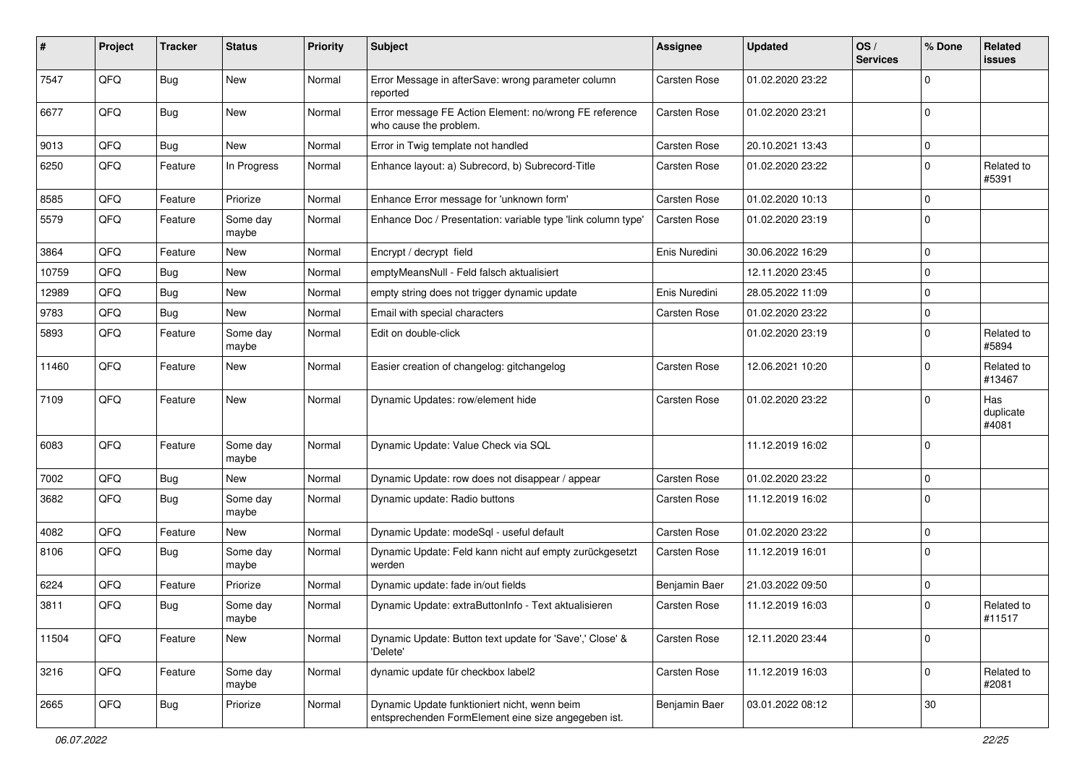| #     | Project | <b>Tracker</b> | <b>Status</b>     | <b>Priority</b> | Subject                                                                                             | <b>Assignee</b>     | <b>Updated</b>   | OS/<br><b>Services</b> | % Done       | Related<br>issues         |
|-------|---------|----------------|-------------------|-----------------|-----------------------------------------------------------------------------------------------------|---------------------|------------------|------------------------|--------------|---------------------------|
| 7547  | QFQ     | Bug            | <b>New</b>        | Normal          | Error Message in afterSave: wrong parameter column<br>reported                                      | Carsten Rose        | 01.02.2020 23:22 |                        | <sup>0</sup> |                           |
| 6677  | QFQ     | <b>Bug</b>     | New               | Normal          | Error message FE Action Element: no/wrong FE reference<br>who cause the problem.                    | Carsten Rose        | 01.02.2020 23:21 |                        | $\mathbf 0$  |                           |
| 9013  | QFQ     | Bug            | <b>New</b>        | Normal          | Error in Twig template not handled                                                                  | Carsten Rose        | 20.10.2021 13:43 |                        | 0            |                           |
| 6250  | QFQ     | Feature        | In Progress       | Normal          | Enhance layout: a) Subrecord, b) Subrecord-Title                                                    | Carsten Rose        | 01.02.2020 23:22 |                        | $\Omega$     | Related to<br>#5391       |
| 8585  | QFQ     | Feature        | Priorize          | Normal          | Enhance Error message for 'unknown form'                                                            | Carsten Rose        | 01.02.2020 10:13 |                        | 0            |                           |
| 5579  | QFQ     | Feature        | Some day<br>maybe | Normal          | Enhance Doc / Presentation: variable type 'link column type'                                        | Carsten Rose        | 01.02.2020 23:19 |                        | $\Omega$     |                           |
| 3864  | QFQ     | Feature        | New               | Normal          | Encrypt / decrypt field                                                                             | Enis Nuredini       | 30.06.2022 16:29 |                        | $\mathbf 0$  |                           |
| 10759 | QFQ     | Bug            | <b>New</b>        | Normal          | emptyMeansNull - Feld falsch aktualisiert                                                           |                     | 12.11.2020 23:45 |                        | $\mathbf 0$  |                           |
| 12989 | QFQ     | Bug            | <b>New</b>        | Normal          | empty string does not trigger dynamic update                                                        | Enis Nuredini       | 28.05.2022 11:09 |                        | 0            |                           |
| 9783  | QFQ     | <b>Bug</b>     | New               | Normal          | Email with special characters                                                                       | Carsten Rose        | 01.02.2020 23:22 |                        | $\Omega$     |                           |
| 5893  | QFQ     | Feature        | Some day<br>maybe | Normal          | Edit on double-click                                                                                |                     | 01.02.2020 23:19 |                        | $\Omega$     | Related to<br>#5894       |
| 11460 | QFQ     | Feature        | New               | Normal          | Easier creation of changelog: gitchangelog                                                          | Carsten Rose        | 12.06.2021 10:20 |                        | 0            | Related to<br>#13467      |
| 7109  | QFQ     | Feature        | New               | Normal          | Dynamic Updates: row/element hide                                                                   | <b>Carsten Rose</b> | 01.02.2020 23:22 |                        | 0            | Has<br>duplicate<br>#4081 |
| 6083  | QFQ     | Feature        | Some day<br>maybe | Normal          | Dynamic Update: Value Check via SQL                                                                 |                     | 11.12.2019 16:02 |                        | $\Omega$     |                           |
| 7002  | QFQ     | Bug            | New               | Normal          | Dynamic Update: row does not disappear / appear                                                     | Carsten Rose        | 01.02.2020 23:22 |                        | $\Omega$     |                           |
| 3682  | QFQ     | <b>Bug</b>     | Some day<br>maybe | Normal          | Dynamic update: Radio buttons                                                                       | Carsten Rose        | 11.12.2019 16:02 |                        | $\mathbf 0$  |                           |
| 4082  | QFQ     | Feature        | New               | Normal          | Dynamic Update: modeSql - useful default                                                            | Carsten Rose        | 01.02.2020 23:22 |                        | 0            |                           |
| 8106  | QFQ     | <b>Bug</b>     | Some day<br>maybe | Normal          | Dynamic Update: Feld kann nicht auf empty zurückgesetzt<br>werden                                   | Carsten Rose        | 11.12.2019 16:01 |                        | 0            |                           |
| 6224  | QFQ     | Feature        | Priorize          | Normal          | Dynamic update: fade in/out fields                                                                  | Benjamin Baer       | 21.03.2022 09:50 |                        | $\mathbf 0$  |                           |
| 3811  | QFQ     | Bug            | Some day<br>maybe | Normal          | Dynamic Update: extraButtonInfo - Text aktualisieren                                                | Carsten Rose        | 11.12.2019 16:03 |                        | $\Omega$     | Related to<br>#11517      |
| 11504 | QFQ     | Feature        | New               | Normal          | Dynamic Update: Button text update for 'Save',' Close' &<br>'Delete'                                | Carsten Rose        | 12.11.2020 23:44 |                        | $\mathbf 0$  |                           |
| 3216  | QFQ     | Feature        | Some day<br>maybe | Normal          | dynamic update für checkbox label2                                                                  | Carsten Rose        | 11.12.2019 16:03 |                        | 0            | Related to<br>#2081       |
| 2665  | QFQ     | Bug            | Priorize          | Normal          | Dynamic Update funktioniert nicht, wenn beim<br>entsprechenden FormElement eine size angegeben ist. | Benjamin Baer       | 03.01.2022 08:12 |                        | 30           |                           |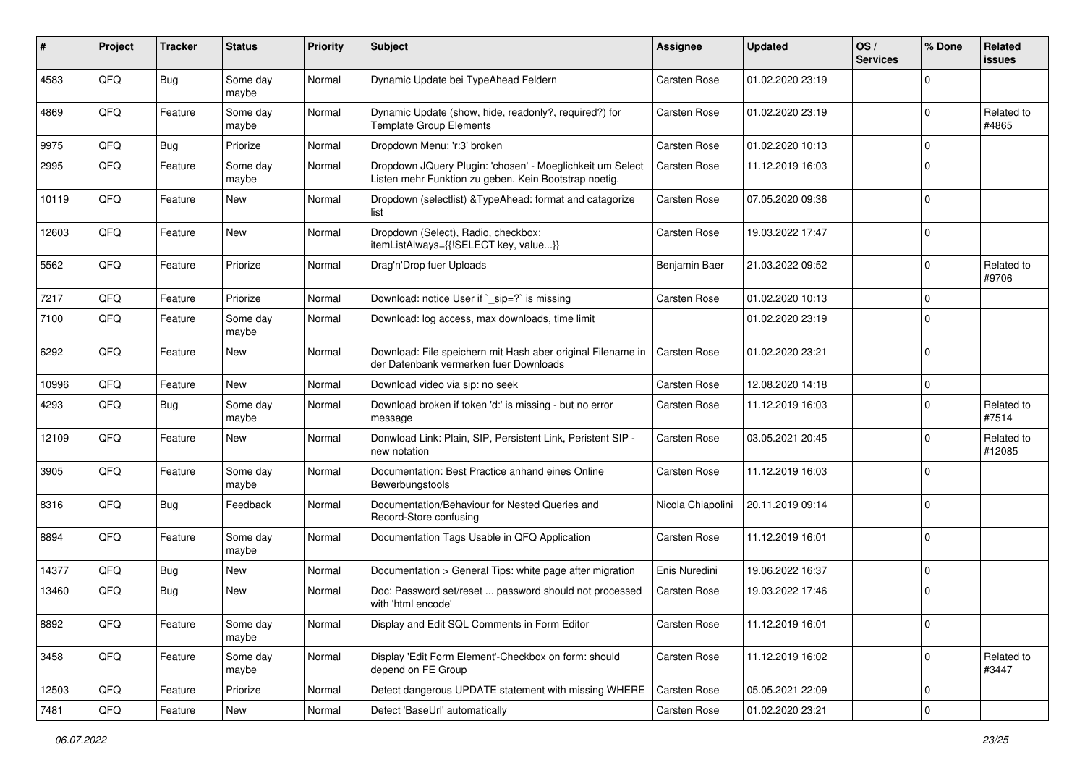| #     | Project | <b>Tracker</b> | <b>Status</b>     | <b>Priority</b> | <b>Subject</b>                                                                                                     | Assignee          | <b>Updated</b>   | OS/<br><b>Services</b> | % Done       | Related<br><b>issues</b> |
|-------|---------|----------------|-------------------|-----------------|--------------------------------------------------------------------------------------------------------------------|-------------------|------------------|------------------------|--------------|--------------------------|
| 4583  | QFQ     | Bug            | Some day<br>maybe | Normal          | Dynamic Update bei TypeAhead Feldern                                                                               | Carsten Rose      | 01.02.2020 23:19 |                        | <sup>0</sup> |                          |
| 4869  | QFQ     | Feature        | Some day<br>maybe | Normal          | Dynamic Update (show, hide, readonly?, required?) for<br><b>Template Group Elements</b>                            | Carsten Rose      | 01.02.2020 23:19 |                        | <sup>0</sup> | Related to<br>#4865      |
| 9975  | QFQ     | Bug            | Priorize          | Normal          | Dropdown Menu: 'r:3' broken                                                                                        | Carsten Rose      | 01.02.2020 10:13 |                        | 0            |                          |
| 2995  | QFQ     | Feature        | Some day<br>maybe | Normal          | Dropdown JQuery Plugin: 'chosen' - Moeglichkeit um Select<br>Listen mehr Funktion zu geben. Kein Bootstrap noetig. | Carsten Rose      | 11.12.2019 16:03 |                        | $\Omega$     |                          |
| 10119 | QFQ     | Feature        | New               | Normal          | Dropdown (selectlist) & TypeAhead: format and catagorize<br>list                                                   | Carsten Rose      | 07.05.2020 09:36 |                        | $\Omega$     |                          |
| 12603 | QFQ     | Feature        | <b>New</b>        | Normal          | Dropdown (Select), Radio, checkbox:<br>itemListAlways={{!SELECT key, value}}                                       | Carsten Rose      | 19.03.2022 17:47 |                        | $\Omega$     |                          |
| 5562  | QFQ     | Feature        | Priorize          | Normal          | Drag'n'Drop fuer Uploads                                                                                           | Benjamin Baer     | 21.03.2022 09:52 |                        | 0            | Related to<br>#9706      |
| 7217  | QFQ     | Feature        | Priorize          | Normal          | Download: notice User if `_sip=?` is missing                                                                       | Carsten Rose      | 01.02.2020 10:13 |                        | $\Omega$     |                          |
| 7100  | QFQ     | Feature        | Some day<br>maybe | Normal          | Download: log access, max downloads, time limit                                                                    |                   | 01.02.2020 23:19 |                        | $\Omega$     |                          |
| 6292  | QFQ     | Feature        | New               | Normal          | Download: File speichern mit Hash aber original Filename in<br>der Datenbank vermerken fuer Downloads              | Carsten Rose      | 01.02.2020 23:21 |                        | $\Omega$     |                          |
| 10996 | QFQ     | Feature        | <b>New</b>        | Normal          | Download video via sip: no seek                                                                                    | Carsten Rose      | 12.08.2020 14:18 |                        | $\Omega$     |                          |
| 4293  | QFQ     | Bug            | Some day<br>maybe | Normal          | Download broken if token 'd:' is missing - but no error<br>message                                                 | Carsten Rose      | 11.12.2019 16:03 |                        | 0            | Related to<br>#7514      |
| 12109 | QFQ     | Feature        | New               | Normal          | Donwload Link: Plain, SIP, Persistent Link, Peristent SIP -<br>new notation                                        | Carsten Rose      | 03.05.2021 20:45 |                        | 0            | Related to<br>#12085     |
| 3905  | QFQ     | Feature        | Some day<br>maybe | Normal          | Documentation: Best Practice anhand eines Online<br>Bewerbungstools                                                | Carsten Rose      | 11.12.2019 16:03 |                        | 0            |                          |
| 8316  | QFQ     | Bug            | Feedback          | Normal          | Documentation/Behaviour for Nested Queries and<br>Record-Store confusing                                           | Nicola Chiapolini | 20.11.2019 09:14 |                        | $\Omega$     |                          |
| 8894  | QFQ     | Feature        | Some day<br>maybe | Normal          | Documentation Tags Usable in QFQ Application                                                                       | Carsten Rose      | 11.12.2019 16:01 |                        | $\Omega$     |                          |
| 14377 | QFQ     | Bug            | New               | Normal          | Documentation > General Tips: white page after migration                                                           | Enis Nuredini     | 19.06.2022 16:37 |                        | $\Omega$     |                          |
| 13460 | QFQ     | Bug            | New               | Normal          | Doc: Password set/reset  password should not processed<br>with 'html encode'                                       | Carsten Rose      | 19.03.2022 17:46 |                        | 0            |                          |
| 8892  | QFQ     | Feature        | Some day<br>maybe | Normal          | Display and Edit SQL Comments in Form Editor                                                                       | Carsten Rose      | 11.12.2019 16:01 |                        | 0            |                          |
| 3458  | QFQ     | Feature        | Some day<br>maybe | Normal          | Display 'Edit Form Element'-Checkbox on form: should<br>depend on FE Group                                         | Carsten Rose      | 11.12.2019 16:02 |                        | 0            | Related to<br>#3447      |
| 12503 | QFQ     | Feature        | Priorize          | Normal          | Detect dangerous UPDATE statement with missing WHERE                                                               | Carsten Rose      | 05.05.2021 22:09 |                        | $\mathbf 0$  |                          |
| 7481  | QFG     | Feature        | New               | Normal          | Detect 'BaseUrl' automatically                                                                                     | Carsten Rose      | 01.02.2020 23:21 |                        | 0            |                          |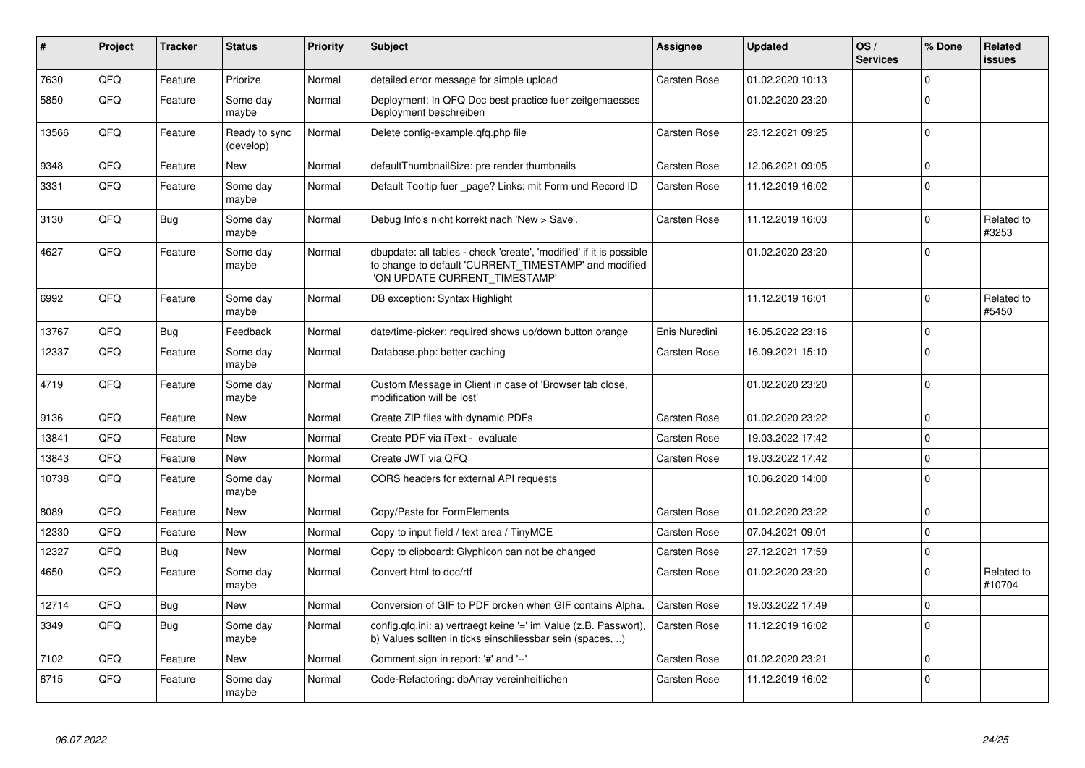| #     | <b>Project</b> | <b>Tracker</b> | <b>Status</b>              | <b>Priority</b> | <b>Subject</b>                                                                                                                                                | Assignee            | <b>Updated</b>   | OS/<br><b>Services</b> | % Done       | Related<br><b>issues</b> |
|-------|----------------|----------------|----------------------------|-----------------|---------------------------------------------------------------------------------------------------------------------------------------------------------------|---------------------|------------------|------------------------|--------------|--------------------------|
| 7630  | QFQ            | Feature        | Priorize                   | Normal          | detailed error message for simple upload                                                                                                                      | Carsten Rose        | 01.02.2020 10:13 |                        | $\Omega$     |                          |
| 5850  | QFQ            | Feature        | Some dav<br>maybe          | Normal          | Deployment: In QFQ Doc best practice fuer zeitgemaesses<br>Deployment beschreiben                                                                             |                     | 01.02.2020 23:20 |                        | $\Omega$     |                          |
| 13566 | QFQ            | Feature        | Ready to sync<br>(develop) | Normal          | Delete config-example.gfg.php file                                                                                                                            | Carsten Rose        | 23.12.2021 09:25 |                        | $\Omega$     |                          |
| 9348  | QFQ            | Feature        | <b>New</b>                 | Normal          | defaultThumbnailSize: pre render thumbnails                                                                                                                   | Carsten Rose        | 12.06.2021 09:05 |                        | $\Omega$     |                          |
| 3331  | QFQ            | Feature        | Some day<br>maybe          | Normal          | Default Tooltip fuer _page? Links: mit Form und Record ID                                                                                                     | Carsten Rose        | 11.12.2019 16:02 |                        | $\Omega$     |                          |
| 3130  | QFQ            | <b>Bug</b>     | Some day<br>maybe          | Normal          | Debug Info's nicht korrekt nach 'New > Save'.                                                                                                                 | Carsten Rose        | 11.12.2019 16:03 |                        | $\Omega$     | Related to<br>#3253      |
| 4627  | QFQ            | Feature        | Some day<br>maybe          | Normal          | dbupdate: all tables - check 'create', 'modified' if it is possible<br>to change to default 'CURRENT_TIMESTAMP' and modified<br>'ON UPDATE CURRENT TIMESTAMP' |                     | 01.02.2020 23:20 |                        | $\Omega$     |                          |
| 6992  | QFQ            | Feature        | Some day<br>maybe          | Normal          | DB exception: Syntax Highlight                                                                                                                                |                     | 11.12.2019 16:01 |                        | $\Omega$     | Related to<br>#5450      |
| 13767 | QFQ            | Bug            | Feedback                   | Normal          | date/time-picker: required shows up/down button orange                                                                                                        | Enis Nuredini       | 16.05.2022 23:16 |                        | $\mathbf 0$  |                          |
| 12337 | QFQ            | Feature        | Some day<br>maybe          | Normal          | Database.php: better caching                                                                                                                                  | Carsten Rose        | 16.09.2021 15:10 |                        | $\Omega$     |                          |
| 4719  | QFQ            | Feature        | Some day<br>maybe          | Normal          | Custom Message in Client in case of 'Browser tab close,<br>modification will be lost'                                                                         |                     | 01.02.2020 23:20 |                        | $\Omega$     |                          |
| 9136  | QFQ            | Feature        | New                        | Normal          | Create ZIP files with dynamic PDFs                                                                                                                            | Carsten Rose        | 01.02.2020 23:22 |                        | $\Omega$     |                          |
| 13841 | QFQ            | Feature        | <b>New</b>                 | Normal          | Create PDF via iText - evaluate                                                                                                                               | Carsten Rose        | 19.03.2022 17:42 |                        | $\Omega$     |                          |
| 13843 | QFQ            | Feature        | <b>New</b>                 | Normal          | Create JWT via QFQ                                                                                                                                            | Carsten Rose        | 19.03.2022 17:42 |                        | $\Omega$     |                          |
| 10738 | QFQ            | Feature        | Some day<br>maybe          | Normal          | CORS headers for external API requests                                                                                                                        |                     | 10.06.2020 14:00 |                        | $\mathbf{0}$ |                          |
| 8089  | QFQ            | Feature        | <b>New</b>                 | Normal          | Copy/Paste for FormElements                                                                                                                                   | Carsten Rose        | 01.02.2020 23:22 |                        | $\Omega$     |                          |
| 12330 | QFQ            | Feature        | New                        | Normal          | Copy to input field / text area / TinyMCE                                                                                                                     | <b>Carsten Rose</b> | 07.04.2021 09:01 |                        | $\Omega$     |                          |
| 12327 | QFQ            | <b>Bug</b>     | <b>New</b>                 | Normal          | Copy to clipboard: Glyphicon can not be changed                                                                                                               | Carsten Rose        | 27.12.2021 17:59 |                        | $\Omega$     |                          |
| 4650  | QFQ            | Feature        | Some day<br>maybe          | Normal          | Convert html to doc/rtf                                                                                                                                       | Carsten Rose        | 01.02.2020 23:20 |                        | $\Omega$     | Related to<br>#10704     |
| 12714 | QFQ            | <b>Bug</b>     | New                        | Normal          | Conversion of GIF to PDF broken when GIF contains Alpha.                                                                                                      | Carsten Rose        | 19.03.2022 17:49 |                        | $\Omega$     |                          |
| 3349  | QFQ            | Bug            | Some day<br>maybe          | Normal          | config.qfq.ini: a) vertraegt keine '=' im Value (z.B. Passwort),<br>b) Values sollten in ticks einschliessbar sein (spaces, )                                 | Carsten Rose        | 11.12.2019 16:02 |                        | $\mathbf{0}$ |                          |
| 7102  | QFQ            | Feature        | New                        | Normal          | Comment sign in report: '#' and '--'                                                                                                                          | Carsten Rose        | 01.02.2020 23:21 |                        | $\Omega$     |                          |
| 6715  | QFQ            | Feature        | Some day<br>maybe          | Normal          | Code-Refactoring: dbArray vereinheitlichen                                                                                                                    | Carsten Rose        | 11.12.2019 16:02 |                        | $\Omega$     |                          |